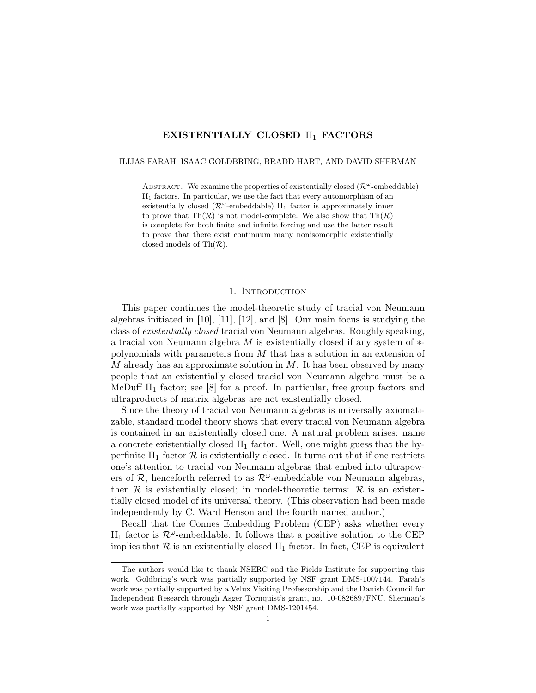# EXISTENTIALLY CLOSED II<sub>1</sub> FACTORS

#### ILIJAS FARAH, ISAAC GOLDBRING, BRADD HART, AND DAVID SHERMAN

ABSTRACT. We examine the properties of existentially closed  $(\mathcal{R}^{\omega}$ -embeddable)  $II<sub>1</sub>$  factors. In particular, we use the fact that every automorphism of an existentially closed ( $\mathcal{R}^{\omega}$ -embeddable) II<sub>1</sub> factor is approximately inner to prove that  $\text{Th}(\mathcal{R})$  is not model-complete. We also show that  $\text{Th}(\mathcal{R})$ is complete for both finite and infinite forcing and use the latter result to prove that there exist continuum many nonisomorphic existentially closed models of  $\text{Th}(\mathcal{R})$ .

### 1. Introduction

This paper continues the model-theoretic study of tracial von Neumann algebras initiated in [10], [11], [12], and [8]. Our main focus is studying the class of existentially closed tracial von Neumann algebras. Roughly speaking, a tracial von Neumann algebra M is existentially closed if any system of ∗ polynomials with parameters from M that has a solution in an extension of  $M$  already has an approximate solution in  $M$ . It has been observed by many people that an existentially closed tracial von Neumann algebra must be a McDuff  $II_1$  factor; see [8] for a proof. In particular, free group factors and ultraproducts of matrix algebras are not existentially closed.

Since the theory of tracial von Neumann algebras is universally axiomatizable, standard model theory shows that every tracial von Neumann algebra is contained in an existentially closed one. A natural problem arises: name a concrete existentially closed  $II_1$  factor. Well, one might guess that the hyperfinite  $II_1$  factor  $\mathcal R$  is existentially closed. It turns out that if one restricts one's attention to tracial von Neumann algebras that embed into ultrapowers of  $\mathcal{R}$ , henceforth referred to as  $\mathcal{R}^{\omega}$ -embeddable von Neumann algebras, then  $\mathcal R$  is existentially closed; in model-theoretic terms:  $\mathcal R$  is an existentially closed model of its universal theory. (This observation had been made independently by C. Ward Henson and the fourth named author.)

Recall that the Connes Embedding Problem (CEP) asks whether every II<sub>1</sub> factor is  $\mathcal{R}^{\omega}$ -embeddable. It follows that a positive solution to the CEP implies that  $\mathcal R$  is an existentially closed  $II_1$  factor. In fact, CEP is equivalent

The authors would like to thank NSERC and the Fields Institute for supporting this work. Goldbring's work was partially supported by NSF grant DMS-1007144. Farah's work was partially supported by a Velux Visiting Professorship and the Danish Council for Independent Research through Asger Törnquist's grant, no. 10-082689/FNU. Sherman's work was partially supported by NSF grant DMS-1201454.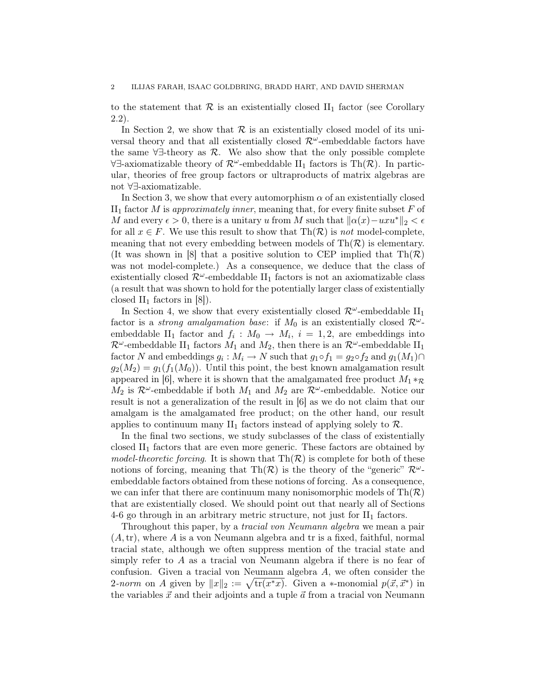to the statement that  $\mathcal R$  is an existentially closed  $II_1$  factor (see Corollary 2.2).

In Section 2, we show that  $\mathcal R$  is an existentially closed model of its universal theory and that all existentially closed  $\mathcal{R}^{\omega}$ -embeddable factors have the same  $\forall \exists$ -theory as  $\mathcal{R}$ . We also show that the only possible complete  $\forall \exists$ -axiomatizable theory of  $\mathcal{R}^{\omega}$ -embeddable II<sub>1</sub> factors is Th( $\mathcal{R}$ ). In particular, theories of free group factors or ultraproducts of matrix algebras are not ∀∃-axiomatizable.

In Section 3, we show that every automorphism  $\alpha$  of an existentially closed  $II<sub>1</sub>$  factor M is approximately inner, meaning that, for every finite subset F of M and every  $\epsilon > 0$ , there is a unitary u from M such that  $\|\alpha(x)-uxu^*\|_2 < \epsilon$ for all  $x \in F$ . We use this result to show that  $\text{Th}(\mathcal{R})$  is not model-complete, meaning that not every embedding between models of  $Th(\mathcal{R})$  is elementary. (It was shown in [8] that a positive solution to CEP implied that  $Th(\mathcal{R})$ was not model-complete.) As a consequence, we deduce that the class of existentially closed  $\mathcal{R}^{\omega}$ -embeddable II<sub>1</sub> factors is not an axiomatizable class (a result that was shown to hold for the potentially larger class of existentially closed  $II_1$  factors in  $|8|$ ).

In Section 4, we show that every existentially closed  $\mathcal{R}^{\omega}$ -embeddable II<sub>1</sub> factor is a *strong amalgamation base*: if  $M_0$  is an existentially closed  $\mathcal{R}^{\omega}$ embeddable II<sub>1</sub> factor and  $f_i: M_0 \to M_i$ ,  $i = 1, 2$ , are embeddings into  $\mathcal{R}^{\omega}$ -embeddable II<sub>1</sub> factors  $M_1$  and  $M_2$ , then there is an  $\mathcal{R}^{\omega}$ -embeddable II<sub>1</sub> factor N and embeddings  $g_i : M_i \to N$  such that  $g_1 \circ f_1 = g_2 \circ f_2$  and  $g_1(M_1) \cap$  $g_2(M_2) = g_1(f_1(M_0))$ . Until this point, the best known amalgamation result appeared in [6], where it is shown that the amalgamated free product  $M_1 *_{\mathcal{R}}$  $M_2$  is  $\mathcal{R}^{\omega}$ -embeddable if both  $M_1$  and  $M_2$  are  $\mathcal{R}^{\omega}$ -embeddable. Notice our result is not a generalization of the result in [6] as we do not claim that our amalgam is the amalgamated free product; on the other hand, our result applies to continuum many  $II_1$  factors instead of applying solely to  $\mathcal{R}$ .

In the final two sections, we study subclasses of the class of existentially closed  $II_1$  factors that are even more generic. These factors are obtained by model-theoretic forcing. It is shown that  $\text{Th}(\mathcal{R})$  is complete for both of these notions of forcing, meaning that Th $(\mathcal{R})$  is the theory of the "generic"  $\mathcal{R}^{\omega}$ embeddable factors obtained from these notions of forcing. As a consequence, we can infer that there are continuum many nonisomorphic models of  $Th(\mathcal{R})$ that are existentially closed. We should point out that nearly all of Sections 4-6 go through in an arbitrary metric structure, not just for  $II_1$  factors.

Throughout this paper, by a *tracial von Neumann algebra* we mean a pair  $(A, \text{tr})$ , where A is a von Neumann algebra and tr is a fixed, faithful, normal tracial state, although we often suppress mention of the tracial state and simply refer to  $A$  as a tracial von Neumann algebra if there is no fear of confusion. Given a tracial von Neumann algebra A, we often consider the 2-norm on A given by  $||x||_2 := \sqrt{\text{tr}(x^*x)}$ . Given a ∗-monomial  $p(\vec{x}, \vec{x}^*)$  in the variables  $\vec{x}$  and their adjoints and a tuple  $\vec{a}$  from a tracial von Neumann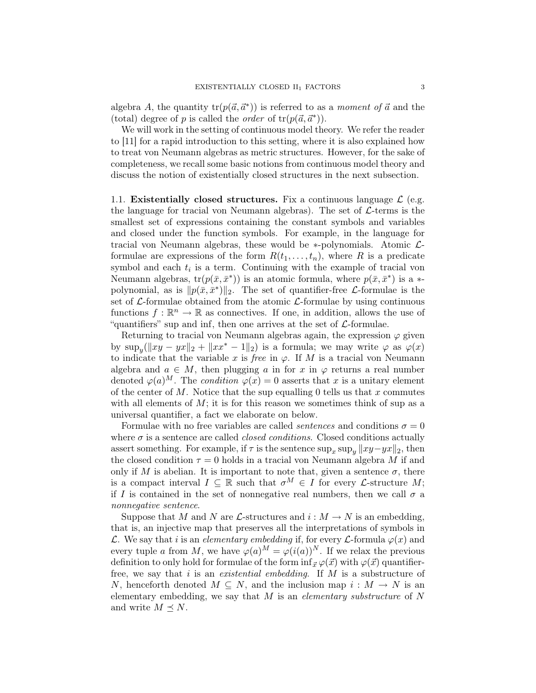algebra A, the quantity  $tr(p(\vec{a}, \vec{a}^*))$  is referred to as a moment of  $\vec{a}$  and the (total) degree of p is called the *order* of  $tr(p(\vec{a}, \vec{a}^*))$ .

We will work in the setting of continuous model theory. We refer the reader to [11] for a rapid introduction to this setting, where it is also explained how to treat von Neumann algebras as metric structures. However, for the sake of completeness, we recall some basic notions from continuous model theory and discuss the notion of existentially closed structures in the next subsection.

1.1. Existentially closed structures. Fix a continuous language  $\mathcal{L}$  (e.g. the language for tracial von Neumann algebras). The set of  $\mathcal{L}$ -terms is the smallest set of expressions containing the constant symbols and variables and closed under the function symbols. For example, in the language for tracial von Neumann algebras, these would be  $*$ -polynomials. Atomic  $\mathcal{L}$ formulae are expressions of the form  $R(t_1, \ldots, t_n)$ , where R is a predicate symbol and each  $t_i$  is a term. Continuing with the example of tracial von Neumann algebras,  $tr(p(\bar{x}, \bar{x}^*))$  is an atomic formula, where  $p(\bar{x}, \bar{x}^*)$  is a  $*$ polynomial, as is  $||p(\bar{x}, \bar{x}^*)||_2$ . The set of quantifier-free *L*-formulae is the set of  $\mathcal{L}$ -formulae obtained from the atomic  $\mathcal{L}$ -formulae by using continuous functions  $f: \mathbb{R}^n \to \mathbb{R}$  as connectives. If one, in addition, allows the use of "quantifiers" sup and inf, then one arrives at the set of  $\mathcal{L}$ -formulae.

Returning to tracial von Neumann algebras again, the expression  $\varphi$  given by  $\sup_y(||xy - yx||_2 + ||xx^* - 1||_2)$  is a formula; we may write  $\varphi$  as  $\varphi(x)$ to indicate that the variable x is free in  $\varphi$ . If M is a tracial von Neumann algebra and  $a \in M$ , then plugging a in for x in  $\varphi$  returns a real number denoted  $\varphi(a)^M$ . The *condition*  $\varphi(x) = 0$  asserts that x is a unitary element of the center of M. Notice that the sup equalling 0 tells us that x commutes with all elements of  $M$ ; it is for this reason we sometimes think of sup as a universal quantifier, a fact we elaborate on below.

Formulae with no free variables are called *sentences* and conditions  $\sigma = 0$ where  $\sigma$  is a sentence are called *closed conditions*. Closed conditions actually assert something. For example, if  $\tau$  is the sentence  $\sup_x \sup_y ||xy-yx||_2$ , then the closed condition  $\tau = 0$  holds in a tracial von Neumann algebra M if and only if M is abelian. It is important to note that, given a sentence  $\sigma$ , there is a compact interval  $I \subseteq \mathbb{R}$  such that  $\sigma^M \in I$  for every *L*-structure *M*; if I is contained in the set of nonnegative real numbers, then we call  $\sigma$  a nonnegative sentence.

Suppose that M and N are  $\mathcal{L}$ -structures and  $i : M \to N$  is an embedding, that is, an injective map that preserves all the interpretations of symbols in L. We say that i is an *elementary embedding* if, for every L-formula  $\varphi(x)$  and every tuple a from M, we have  $\varphi(a)^M = \varphi(i(a))^N$ . If we relax the previous definition to only hold for formulae of the form  $\inf_{\vec{x}} \varphi(\vec{x})$  with  $\varphi(\vec{x})$  quantifierfree, we say that i is an *existential embedding*. If  $M$  is a substructure of N, henceforth denoted  $M \subseteq N$ , and the inclusion map  $i : M \to N$  is an elementary embedding, we say that  $M$  is an *elementary substructure* of  $N$ and write  $M \prec N$ .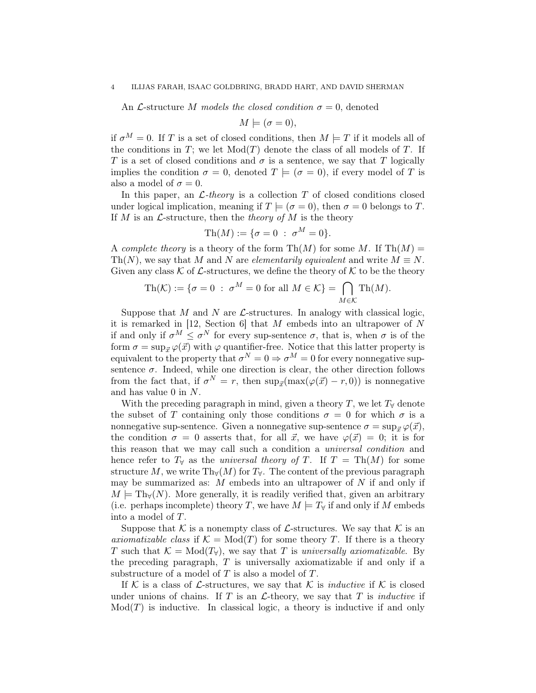An *L*-structure M models the closed condition  $\sigma = 0$ , denoted

$$
M \models (\sigma = 0),
$$

if  $\sigma^M = 0$ . If T is a set of closed conditions, then  $M \models T$  if it models all of the conditions in T; we let  $Mod(T)$  denote the class of all models of T. If T is a set of closed conditions and  $\sigma$  is a sentence, we say that T logically implies the condition  $\sigma = 0$ , denoted  $T \models (\sigma = 0)$ , if every model of T is also a model of  $\sigma = 0$ .

In this paper, an  $\mathcal{L}\text{-}theory$  is a collection T of closed conditions closed under logical implication, meaning if  $T \models (\sigma = 0)$ , then  $\sigma = 0$  belongs to T. If M is an  $\mathcal{L}$ -structure, then the theory of M is the theory

$$
\mathrm{Th}(M):=\{\sigma=0\;:\; \sigma^M=0\}.
$$

A complete theory is a theory of the form  $\text{Th}(M)$  for some M. If  $\text{Th}(M)$  = Th(N), we say that M and N are *elementarily equivalent* and write  $M \equiv N$ . Given any class K of L-structures, we define the theory of K to be the theory

$$
\mathrm{Th}(\mathcal{K}) := \{ \sigma = 0 \; : \; \sigma^M = 0 \text{ for all } M \in \mathcal{K} \} = \bigcap_{M \in \mathcal{K}} \mathrm{Th}(M).
$$

Suppose that M and N are  $\mathcal{L}$ -structures. In analogy with classical logic, it is remarked in [12, Section 6] that  $M$  embeds into an ultrapower of  $N$ if and only if  $\sigma^M \leq \sigma^N$  for every sup-sentence  $\sigma$ , that is, when  $\sigma$  is of the form  $\sigma = \sup_{\vec{x}} \varphi(\vec{x})$  with  $\varphi$  quantifier-free. Notice that this latter property is equivalent to the property that  $\sigma^N = 0 \Rightarrow \sigma^M = 0$  for every nonnegative supsentence  $\sigma$ . Indeed, while one direction is clear, the other direction follows from the fact that, if  $\sigma^N = r$ , then  $\sup_{\vec{x}}(\max(\varphi(\vec{x}) - r, 0))$  is nonnegative and has value 0 in N.

With the preceding paragraph in mind, given a theory T, we let  $T_\forall$  denote the subset of T containing only those conditions  $\sigma = 0$  for which  $\sigma$  is a nonnegative sup-sentence. Given a nonnegative sup-sentence  $\sigma = \sup_{\vec{x}} \varphi(\vec{x}),$ the condition  $\sigma = 0$  asserts that, for all  $\vec{x}$ , we have  $\varphi(\vec{x}) = 0$ ; it is for this reason that we may call such a condition a universal condition and hence refer to  $T_\forall$  as the universal theory of T. If  $T = Th(M)$  for some structure M, we write Th $_{\forall}(M)$  for  $T_{\forall}$ . The content of the previous paragraph may be summarized as:  $M$  embeds into an ultrapower of  $N$  if and only if  $M \models Th_{\forall}(N)$ . More generally, it is readily verified that, given an arbitrary (i.e. perhaps incomplete) theory T, we have  $M \models T_{\forall}$  if and only if M embeds into a model of T.

Suppose that K is a nonempty class of L-structures. We say that K is an axiomatizable class if  $\mathcal{K} = Mod(T)$  for some theory T. If there is a theory T such that  $\mathcal{K} = \text{Mod}(T_{\forall})$ , we say that T is universally axiomatizable. By the preceding paragraph,  $T$  is universally axiomatizable if and only if a substructure of a model of  $T$  is also a model of  $T$ .

If K is a class of L-structures, we say that K is *inductive* if K is closed under unions of chains. If  $T$  is an  $\mathcal{L}\text{-theory}$ , we say that  $T$  is *inductive* if  $Mod(T)$  is inductive. In classical logic, a theory is inductive if and only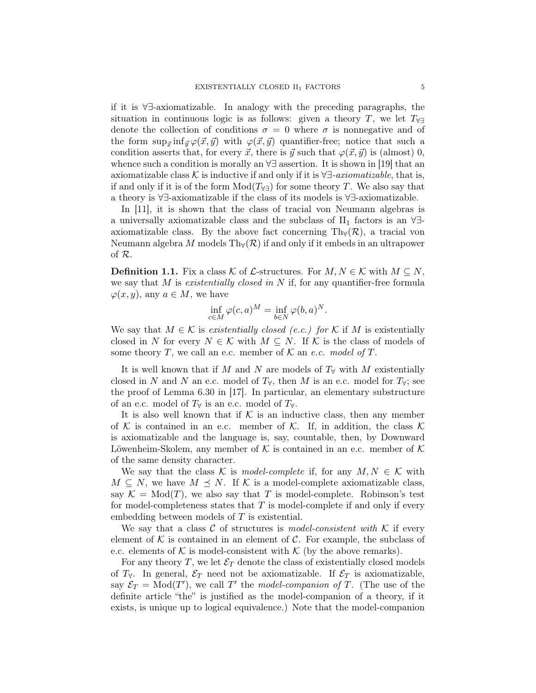if it is ∀∃-axiomatizable. In analogy with the preceding paragraphs, the situation in continuous logic is as follows: given a theory T, we let  $T_{\forall\exists}$ denote the collection of conditions  $\sigma = 0$  where  $\sigma$  is nonnegative and of the form  $\sup_{\vec{x}} \inf_{\vec{y}} \varphi(\vec{x}, \vec{y})$  with  $\varphi(\vec{x}, \vec{y})$  quantifier-free; notice that such a condition asserts that, for every  $\vec{x}$ , there is  $\vec{y}$  such that  $\varphi(\vec{x}, \vec{y})$  is (almost) 0, whence such a condition is morally an ∀∃ assertion. It is shown in [19] that an axiomatizable class K is inductive if and only if it is  $\forall \exists \text{-}axiomaticable$ , that is, if and only if it is of the form  $Mod(T_{\forall\exists})$  for some theory T. We also say that a theory is ∀∃-axiomatizable if the class of its models is ∀∃-axiomatizable.

In [11], it is shown that the class of tracial von Neumann algebras is a universally axiomatizable class and the subclass of  $II_1$  factors is an  $\forall \exists$ axiomatizable class. By the above fact concerning  $Th<sub>\forall</sub>(\mathcal{R})$ , a tracial von Neumann algebra M models Th $_{\mathbb{V}}(\mathcal{R})$  if and only if it embeds in an ultrapower of R.

**Definition 1.1.** Fix a class K of L-structures. For  $M, N \in \mathcal{K}$  with  $M \subseteq N$ , we say that  $M$  is *existentially closed in*  $N$  if, for any quantifier-free formula  $\varphi(x, y)$ , any  $a \in M$ , we have

$$
\inf_{c \in M} \varphi(c, a)^M = \inf_{b \in N} \varphi(b, a)^N.
$$

We say that  $M \in \mathcal{K}$  is existentially closed (e.c.) for  $\mathcal{K}$  if M is existentially closed in N for every  $N \in \mathcal{K}$  with  $M \subseteq N$ . If K is the class of models of some theory T, we call an e.c. member of K an e.c. model of T.

It is well known that if M and N are models of  $T<sub>\forall</sub>$  with M existentially closed in N and N an e.c. model of  $T_{\forall}$ , then M is an e.c. model for  $T_{\forall}$ ; see the proof of Lemma 6.30 in [17]. In particular, an elementary substructure of an e.c. model of  $T_\forall$  is an e.c. model of  $T_\forall$ .

It is also well known that if  $K$  is an inductive class, then any member of K is contained in an e.c. member of K. If, in addition, the class K is axiomatizable and the language is, say, countable, then, by Downward Löwenheim-Skolem, any member of  $K$  is contained in an e.c. member of  $K$ of the same density character.

We say that the class K is model-complete if, for any  $M, N \in \mathcal{K}$  with  $M \subseteq N$ , we have  $M \preceq N$ . If K is a model-complete axiomatizable class, say  $\mathcal{K} = Mod(T)$ , we also say that T is model-complete. Robinson's test for model-completeness states that  $T$  is model-complete if and only if every embedding between models of  $T$  is existential.

We say that a class  $\mathcal C$  of structures is model-consistent with  $\mathcal K$  if every element of  $K$  is contained in an element of C. For example, the subclass of e.c. elements of  $K$  is model-consistent with  $K$  (by the above remarks).

For any theory  $T$ , we let  $\mathcal{E}_T$  denote the class of existentially closed models of  $T_{\forall}$ . In general,  $\mathcal{E}_T$  need not be axiomatizable. If  $\mathcal{E}_T$  is axiomatizable, say  $\mathcal{E}_T = \text{Mod}(T')$ , we call T' the model-companion of T. (The use of the definite article "the" is justified as the model-companion of a theory, if it exists, is unique up to logical equivalence.) Note that the model-companion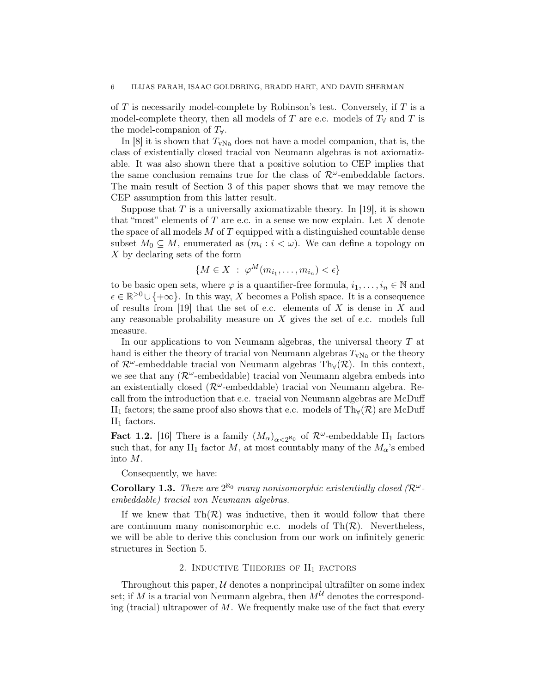of  $T$  is necessarily model-complete by Robinson's test. Conversely, if  $T$  is a model-complete theory, then all models of T are e.c. models of  $T<sub>\forall</sub>$  and T is the model-companion of  $T_{\forall}$ .

In  $[8]$  it is shown that  $T_{\text{vNa}}$  does not have a model companion, that is, the class of existentially closed tracial von Neumann algebras is not axiomatizable. It was also shown there that a positive solution to CEP implies that the same conclusion remains true for the class of  $\mathcal{R}^{\omega}$ -embeddable factors. The main result of Section 3 of this paper shows that we may remove the CEP assumption from this latter result.

Suppose that  $T$  is a universally axiomatizable theory. In [19], it is shown that "most" elements of  $T$  are e.c. in a sense we now explain. Let  $X$  denote the space of all models  $M$  of  $T$  equipped with a distinguished countable dense subset  $M_0 \subseteq M$ , enumerated as  $(m_i : i < \omega)$ . We can define a topology on X by declaring sets of the form

$$
\{M \in X \; : \; \varphi^M(m_{i_1}, \ldots, m_{i_n}) < \epsilon\}
$$

to be basic open sets, where  $\varphi$  is a quantifier-free formula,  $i_1, \ldots, i_n \in \mathbb{N}$  and  $\epsilon \in \mathbb{R}^{>0} \cup \{+\infty\}$ . In this way, X becomes a Polish space. It is a consequence of results from [19] that the set of e.c. elements of  $X$  is dense in  $X$  and any reasonable probability measure on  $X$  gives the set of e.c. models full measure.

In our applications to von Neumann algebras, the universal theory  $T$  at hand is either the theory of tracial von Neumann algebras  $T_{\text{vNa}}$  or the theory of  $\mathcal{R}^{\omega}$ -embeddable tracial von Neumann algebras Th<sub>∀</sub>( $\mathcal{R}$ ). In this context, we see that any  $(\mathcal{R}^{\omega}$ -embeddable) tracial von Neumann algebra embeds into an existentially closed ( $\mathcal{R}^{\omega}$ -embeddable) tracial von Neumann algebra. Recall from the introduction that e.c. tracial von Neumann algebras are McDuff II<sub>1</sub> factors; the same proof also shows that e.c. models of Th<sub>∀</sub>( $\mathcal{R}$ ) are McDuff  $II_1$  factors.

**Fact 1.2.** [16] There is a family  $(M_\alpha)_{\alpha<2^{\aleph_0}}$  of  $\mathcal{R}^\omega$ -embeddable  $II_1$  factors such that, for any II<sub>1</sub> factor M, at most countably many of the  $M_{\alpha}$ 's embed into M.

Consequently, we have:

**Corollary 1.3.** There are  $2^{\aleph_0}$  many nonisomorphic existentially closed ( $\mathcal{R}^{\omega}$ embeddable) tracial von Neumann algebras.

If we knew that  $\text{Th}(\mathcal{R})$  was inductive, then it would follow that there are continuum many nonisomorphic e.c. models of  $Th(\mathcal{R})$ . Nevertheless, we will be able to derive this conclusion from our work on infinitely generic structures in Section 5.

## 2. INDUCTIVE THEORIES OF  $II<sub>1</sub>$  factors

Throughout this paper,  $U$  denotes a nonprincipal ultrafilter on some index set; if M is a tracial von Neumann algebra, then  $M^{\mathcal{U}}$  denotes the corresponding (tracial) ultrapower of  $M$ . We frequently make use of the fact that every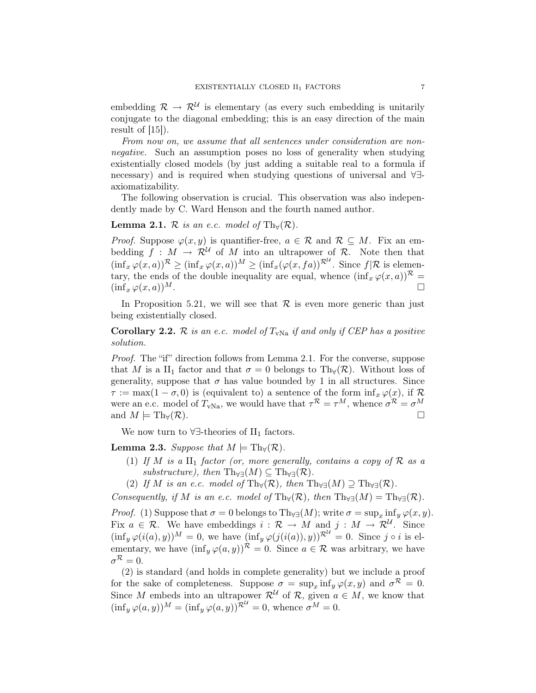embedding  $\mathcal{R} \to \mathcal{R}^{\mathcal{U}}$  is elementary (as every such embedding is unitarily conjugate to the diagonal embedding; this is an easy direction of the main result of  $[15]$ .

From now on, we assume that all sentences under consideration are nonnegative. Such an assumption poses no loss of generality when studying existentially closed models (by just adding a suitable real to a formula if necessary) and is required when studying questions of universal and ∀∃ axiomatizability.

The following observation is crucial. This observation was also independently made by C. Ward Henson and the fourth named author.

### **Lemma 2.1.** R is an e.c. model of Th<sub>∀</sub>(R).

*Proof.* Suppose  $\varphi(x, y)$  is quantifier-free,  $a \in \mathcal{R}$  and  $\mathcal{R} \subseteq M$ . Fix an embedding  $f : M \to \mathcal{R}^{\mathcal{U}}$  of M into an ultrapower of  $\mathcal{R}$ . Note then that  $(\inf_x \varphi(x,a))^{\mathcal{R}} \geq (\inf_x \varphi(x,a))^M \geq (\inf_x (\varphi(x, fa))^{\mathcal{R}^{\mathcal{U}}}$ . Since  $f | \mathcal{R}$  is elementary, the ends of the double inequality are equal, whence  $(\inf_x \varphi(x, a))^R =$  $(\inf_x \varphi(x, a))^M$ .

In Proposition 5.21, we will see that  $\mathcal R$  is even more generic than just being existentially closed.

# Corollary 2.2. R is an e.c. model of  $T_{\text{vNa}}$  if and only if CEP has a positive solution.

Proof. The "if" direction follows from Lemma 2.1. For the converse, suppose that M is a II<sub>1</sub> factor and that  $\sigma = 0$  belongs to Th<sub>∀</sub>( $\mathcal{R}$ ). Without loss of generality, suppose that  $\sigma$  has value bounded by 1 in all structures. Since  $\tau := \max(1 - \sigma, 0)$  is (equivalent to) a sentence of the form  $\inf_x \varphi(x)$ , if R were an e.c. model of  $T_{\text{vNa}}$ , we would have that  $\tau^{\mathcal{R}} = \tau^M$ , whence  $\sigma^{\mathcal{R}} = \sigma^M$ and  $M \models \mathrm{Th}_{\forall}(\mathcal{R}).$ 

We now turn to  $\forall \exists$ -theories of II<sub>1</sub> factors.

**Lemma 2.3.** Suppose that  $M \models \text{Th}_{\forall}(\mathcal{R})$ .

- (1) If M is a  $\text{II}_1$  factor (or, more generally, contains a copy of R as a substructure), then  $\text{Th}_{\forall\exists}(M) \subseteq \text{Th}_{\forall\exists}(\mathcal{R})$ .
- (2) If M is an e.c. model of Th<sub>∀</sub>( $\mathcal{R}$ ), then Th<sub>∀∃</sub>( $M$ )  $\supseteq$  Th<sub>∀∃</sub>( $\mathcal{R}$ ).

Consequently, if M is an e.c. model of  $\text{Th}_{\forall}(\mathcal{R})$ , then  $\text{Th}_{\forall\exists}(M) = \text{Th}_{\forall\exists}(\mathcal{R})$ .

*Proof.* (1) Suppose that  $\sigma = 0$  belongs to Th<sub>∀∃</sub>(*M*); write  $\sigma = \sup_x \inf_y \varphi(x, y)$ . Fix  $a \in \mathcal{R}$ . We have embeddings  $i : \mathcal{R} \to M$  and  $j : M \to \mathcal{R}^{\mathcal{U}}$ . Since  $(\inf_y \varphi(i(a), y))^M = 0$ , we have  $(\inf_y \varphi(j(i(a)), y))^{\mathcal{R}^{\mathcal{U}}} = 0$ . Since  $j \circ i$  is elementary, we have  $(\inf_y \varphi(a, y))^{\mathcal{R}} = 0$ . Since  $a \in \mathcal{R}$  was arbitrary, we have  $\sigma^{\mathcal{R}}=0.$ 

(2) is standard (and holds in complete generality) but we include a proof for the sake of completeness. Suppose  $\sigma = \sup_x \inf_y \varphi(x, y)$  and  $\sigma^{\mathcal{R}} = 0$ . Since M embeds into an ultrapower  $\mathcal{R}^{\mathcal{U}}$  of  $\mathcal{R}$ , given  $a \in M$ , we know that  $(\inf_y \varphi(a, y))^M = (\inf_y \varphi(a, y))^{\mathcal{R}^{\mathcal{U}}} = 0$ , whence  $\sigma^M = 0$ .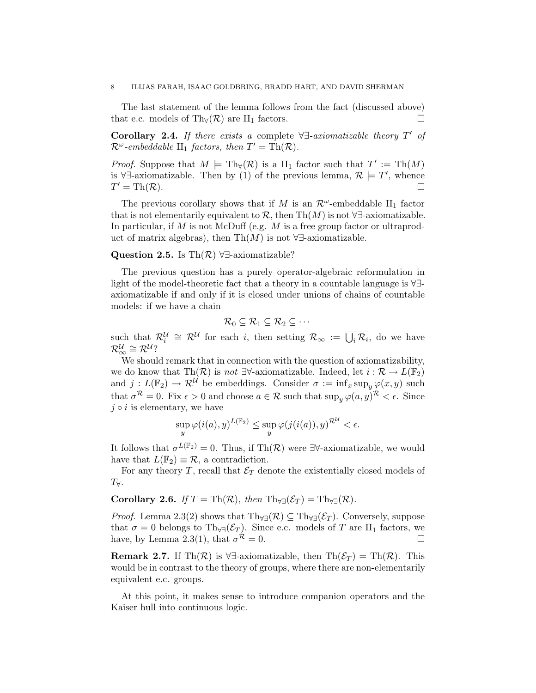The last statement of the lemma follows from the fact (discussed above) that e.c. models of Th $(\mathcal{R})$  are II<sub>1</sub> factors.

Corollary 2.4. If there exists a complete  $\forall \exists$ -axiomatizable theory  $T'$  of  $\mathcal{R}^{\omega}$ -embeddable  $\text{II}_1$  factors, then  $T' = \text{Th}(\mathcal{R})$ .

*Proof.* Suppose that  $M \models \text{Th}_{\forall}(\mathcal{R})$  is a  $\text{II}_1$  factor such that  $T' := \text{Th}(M)$ is  $\forall \exists$ -axiomatizable. Then by (1) of the previous lemma,  $\mathcal{R} \models T'$ , whence  $T' = \text{Th}(\mathcal{R}).$ 

The previous corollary shows that if M is an  $\mathcal{R}^{\omega}$ -embeddable II<sub>1</sub> factor that is not elementarily equivalent to R, then Th $(M)$  is not  $\forall \exists$ -axiomatizable. In particular, if  $M$  is not McDuff (e.g.  $M$  is a free group factor or ultraproduct of matrix algebras), then Th $(M)$  is not ∀∃-axiomatizable.

## Question 2.5. Is Th $(\mathcal{R})$   $\forall \exists$ -axiomatizable?

The previous question has a purely operator-algebraic reformulation in light of the model-theoretic fact that a theory in a countable language is ∀∃ axiomatizable if and only if it is closed under unions of chains of countable models: if we have a chain

$$
\mathcal{R}_0\subseteq\mathcal{R}_1\subseteq\mathcal{R}_2\subseteq\cdots
$$

such that  $\mathcal{R}_i^{\mathcal{U}} \cong \mathcal{R}^{\mathcal{U}}$  for each i, then setting  $\mathcal{R}_{\infty} := \overline{\bigcup_i \mathcal{R}_i}$ , do we have  $\mathcal{R}_{\infty}^{\mathcal{U}} \cong \mathcal{R}^{\mathcal{U}}$ ?

We should remark that in connection with the question of axiomatizability, we do know that Th $(\mathcal{R})$  is not ∃∀-axiomatizable. Indeed, let  $i : \mathcal{R} \to L(\mathbb{F}_2)$ and  $j: L(\mathbb{F}_2) \to \mathcal{R}^{\mathcal{U}}$  be embeddings. Consider  $\sigma := \inf_x \sup_y \varphi(x, y)$  such that  $\sigma^{\mathcal{R}} = 0$ . Fix  $\epsilon > 0$  and choose  $a \in \mathcal{R}$  such that  $\sup_y \varphi(a, y)^{\mathcal{R}} < \epsilon$ . Since  $j \circ i$  is elementary, we have

$$
\sup_{y} \varphi(i(a), y)^{L(\mathbb{F}_2)} \le \sup_{y} \varphi(j(i(a)), y)^{\mathcal{R}^{\mathcal{U}}} < \epsilon.
$$

It follows that  $\sigma^{L(\mathbb{F}_2)} = 0$ . Thus, if Th $(\mathcal{R})$  were  $\exists \forall$ -axiomatizable, we would have that  $L(\mathbb{F}_2) \equiv \mathcal{R}$ , a contradiction.

For any theory T, recall that  $\mathcal{E}_T$  denote the existentially closed models of  $T_{\forall}$ .

Corollary 2.6. If  $T = \text{Th}(\mathcal{R})$ , then  $\text{Th}_{\forall \exists}(\mathcal{E}_T) = \text{Th}_{\forall \exists}(\mathcal{R})$ .

*Proof.* Lemma 2.3(2) shows that  $\text{Th}_{\forall\exists}(\mathcal{R}) \subseteq \text{Th}_{\forall\exists}(\mathcal{E}_T)$ . Conversely, suppose that  $\sigma = 0$  belongs to Th<sub>∀∃</sub>( $\mathcal{E}_T$ ). Since e.c. models of T are II<sub>1</sub> factors, we have, by Lemma 2.3(1), that  $\sigma^{\mathcal{R}} = 0$ .

Remark 2.7. If Th $(\mathcal{R})$  is  $\forall \exists$ -axiomatizable, then Th $(\mathcal{E}_T) = \text{Th}(\mathcal{R})$ . This would be in contrast to the theory of groups, where there are non-elementarily equivalent e.c. groups.

At this point, it makes sense to introduce companion operators and the Kaiser hull into continuous logic.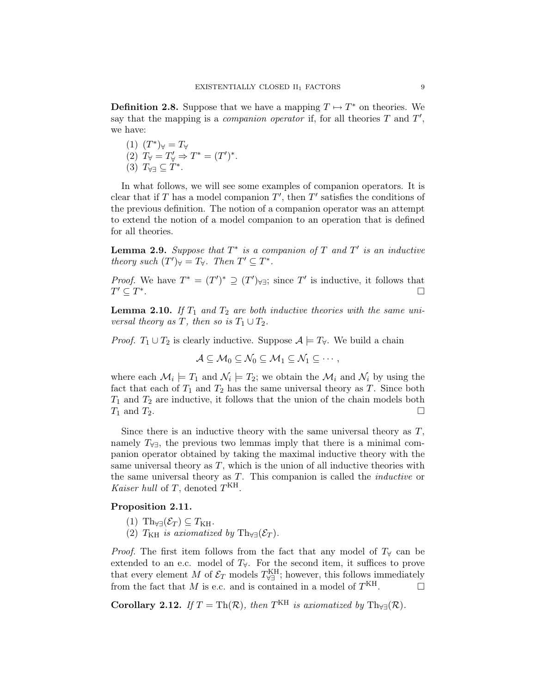**Definition 2.8.** Suppose that we have a mapping  $T \mapsto T^*$  on theories. We say that the mapping is a *companion operator* if, for all theories  $T$  and  $T'$ , we have:

(1) 
$$
(T^*)_{\forall} = T_{\forall}
$$
  
\n(2)  $T_{\forall} = T'_{\forall} \Rightarrow T^* = (T')^*$ .  
\n(3)  $T_{\forall \exists} \subseteq T^*$ .

In what follows, we will see some examples of companion operators. It is clear that if T has a model companion  $T'$ , then  $T'$  satisfies the conditions of the previous definition. The notion of a companion operator was an attempt to extend the notion of a model companion to an operation that is defined for all theories.

**Lemma 2.9.** Suppose that  $T^*$  is a companion of  $T$  and  $T'$  is an inductive theory such  $(T')_{\forall} = T_{\forall}$ . Then  $T' \subseteq T^*$ .

*Proof.* We have  $T^* = (T')^* \supseteq (T')_{\forall \exists}$ ; since  $T'$  is inductive, it follows that  $T' \subseteq T^*$ .

**Lemma 2.10.** If  $T_1$  and  $T_2$  are both inductive theories with the same universal theory as T, then so is  $T_1 \cup T_2$ .

*Proof.*  $T_1 \cup T_2$  is clearly inductive. Suppose  $\mathcal{A} \models T_{\forall}$ . We build a chain

$$
\mathcal{A}\subseteq\mathcal{M}_0\subseteq\mathcal{N}_0\subseteq\mathcal{M}_1\subseteq\mathcal{N}_1\subseteq\cdots,
$$

where each  $\mathcal{M}_i \models T_1$  and  $\mathcal{N}_i \models T_2$ ; we obtain the  $\mathcal{M}_i$  and  $\mathcal{N}_i$  by using the fact that each of  $T_1$  and  $T_2$  has the same universal theory as T. Since both  $T_1$  and  $T_2$  are inductive, it follows that the union of the chain models both  $T_1$  and  $T_2$ .

Since there is an inductive theory with the same universal theory as  $T$ , namely  $T_{\forall\exists}$ , the previous two lemmas imply that there is a minimal companion operator obtained by taking the maximal inductive theory with the same universal theory as  $T$ , which is the union of all inductive theories with the same universal theory as  $T$ . This companion is called the *inductive* or Kaiser hull of T, denoted  $T<sup>KH</sup>$ .

## Proposition 2.11.

- (1) Th<sub>∀∃</sub> $(\mathcal{E}_T) \subseteq T_{\text{KH}}$ .
- (2)  $T_{\rm KH}$  is axiomatized by Th<sub>∀∃</sub>( $\mathcal{E}_T$ ).

*Proof.* The first item follows from the fact that any model of  $T_\forall$  can be extended to an e.c. model of  $T_{\forall}$ . For the second item, it suffices to prove that every element M of  $\mathcal{E}_T$  models  $T_{\forall\exists}^{\text{KH}}$ ; however, this follows immediately from the fact that M is e.c. and is contained in a model of  $T<sup>KH</sup>$ .

Corollary 2.12. If  $T = \text{Th}(\mathcal{R})$ , then  $T^{\text{KH}}$  is axiomatized by  $\text{Th}_{\forall \exists}(\mathcal{R})$ .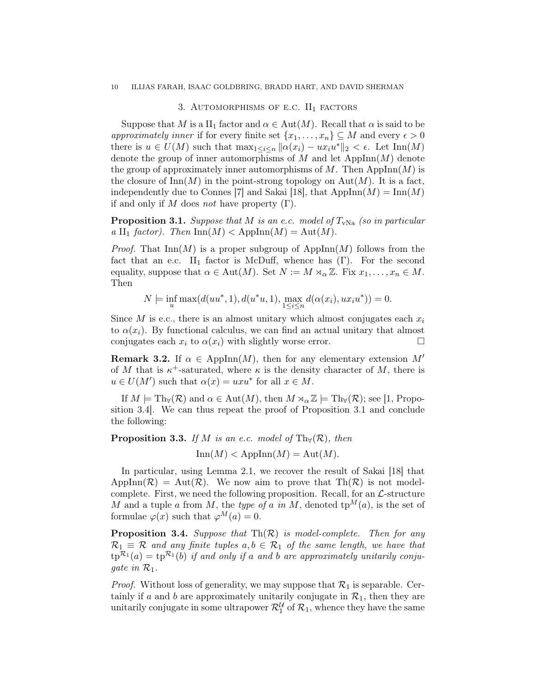# 3. AUTOMORPHISMS OF E.C.  $II_1$  factors

Suppose that M is a II<sub>1</sub> factor and  $\alpha \in Aut(M)$ . Recall that  $\alpha$  is said to be approximately inner if for every finite set  $\{x_1, \ldots, x_n\} \subseteq M$  and every  $\epsilon > 0$ there is  $u \in U(M)$  such that  $\max_{1 \leq i \leq n} ||\alpha(x_i) - ux_iu^*||_2 < \epsilon$ . Let  $\text{Inn}(M)$ denote the group of inner automorphisms of  $M$  and let  $AppInn(M)$  denote the group of approximately inner automorphisms of M. Then AppInn $(M)$  is the closure of  $\text{Inn}(M)$  in the point-strong topology on  $\text{Aut}(M)$ . It is a fact, independently due to Connes [7] and Sakai [18], that  $AppInn(M) = Inn(M)$ if and only if M does not have property  $(\Gamma)$ .

**Proposition 3.1.** Suppose that M is an e.c. model of  $T_{\text{vNa}}$  (so in particular a II<sub>1</sub> factor). Then  $\text{Inn}(M) < \text{AppInn}(M) = \text{Aut}(M)$ .

*Proof.* That  $\text{Inn}(M)$  is a proper subgroup of  $\text{AppInn}(M)$  follows from the fact that an e.c. II<sub>1</sub> factor is McDuff, whence has  $(Γ)$ . For the second equality, suppose that  $\alpha \in \text{Aut}(M)$ . Set  $N := M \rtimes_{\alpha} \mathbb{Z}$ . Fix  $x_1, \ldots, x_n \in M$ . Then

$$
N \models \inf_{u} \max(d(uu^*, 1), d(u^*u, 1), \max_{1 \le i \le n} d(\alpha(x_i), ux_iu^*)) = 0.
$$

Since M is e.c., there is an almost unitary which almost conjugates each  $x_i$ to  $\alpha(x_i)$ . By functional calculus, we can find an actual unitary that almost conjugates each  $x_i$  to  $\alpha(x_i)$  with slightly worse error.

**Remark 3.2.** If  $\alpha \in \text{AppInn}(M)$ , then for any elementary extension M' of M that is  $\kappa^+$ -saturated, where  $\kappa$  is the density character of M, there is  $u \in U(M')$  such that  $\alpha(x) = uxu^*$  for all  $x \in M$ .

If  $M \models \text{Th}_{\forall}(\mathcal{R})$  and  $\alpha \in \text{Aut}(M)$ , then  $M \rtimes_{\alpha} \mathbb{Z} \models \text{Th}_{\forall}(\mathcal{R})$ ; see [1, Proposition 3.4]. We can thus repeat the proof of Proposition 3.1 and conclude the following:

## **Proposition 3.3.** If M is an e.c. model of Th $(\mathcal{R})$ , then

 $\text{Inn}(M) < \text{AppInn}(M) = \text{Aut}(M).$ 

In particular, using Lemma 2.1, we recover the result of Sakai [18] that  $AppInn(\mathcal{R}) = Aut(\mathcal{R})$ . We now aim to prove that  $Th(\mathcal{R})$  is not modelcomplete. First, we need the following proposition. Recall, for an  $\mathcal{L}\text{-structure}$ M and a tuple a from M, the type of a in M, denoted  $tp^M(a)$ , is the set of formulae  $\varphi(x)$  such that  $\varphi^{M}(a) = 0$ .

**Proposition 3.4.** Suppose that  $Th(R)$  is model-complete. Then for any  $\mathcal{R}_1 \equiv \mathcal{R}$  and any finite tuples  $a, b \in \mathcal{R}_1$  of the same length, we have that  $tp^{\mathcal{R}_1}(a) = tp^{\mathcal{R}_1}(b)$  if and only if a and b are approximately unitarily conjugate in  $\mathcal{R}_1$ .

*Proof.* Without loss of generality, we may suppose that  $\mathcal{R}_1$  is separable. Certainly if a and b are approximately unitarily conjugate in  $\mathcal{R}_1$ , then they are unitarily conjugate in some ultrapower  $\mathcal{R}_1^{\mathcal{U}}$  of  $\mathcal{R}_1$ , whence they have the same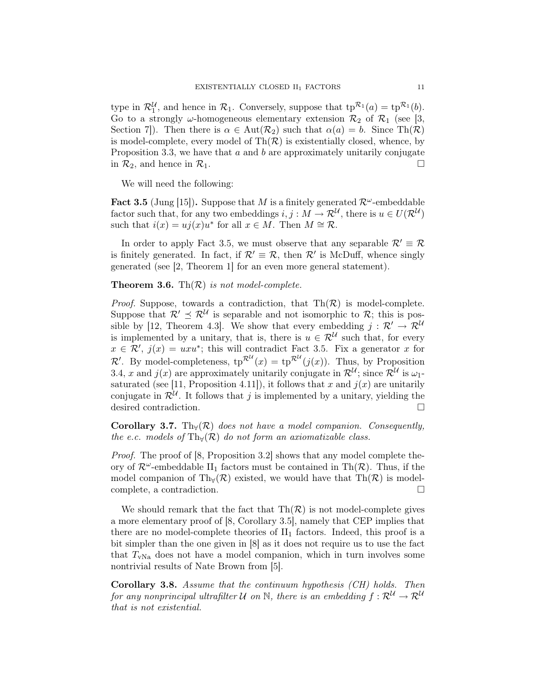type in  $\mathcal{R}_1^{\mathcal{U}}$ , and hence in  $\mathcal{R}_1$ . Conversely, suppose that  $tp^{\mathcal{R}_1}(a) = tp^{\mathcal{R}_1}(b)$ . Go to a strongly  $\omega$ -homogeneous elementary extension  $\mathcal{R}_2$  of  $\mathcal{R}_1$  (see [3, Section 7. Then there is  $\alpha \in \text{Aut}(\mathcal{R}_2)$  such that  $\alpha(a) = b$ . Since Th $(\mathcal{R})$ is model-complete, every model of  $\text{Th}(\mathcal{R})$  is existentially closed, whence, by Proposition 3.3, we have that  $a$  and  $b$  are approximately unitarily conjugate in  $\mathcal{R}_2$ , and hence in  $\mathcal{R}_1$ .

We will need the following:

Fact 3.5 (Jung [15]). Suppose that M is a finitely generated  $\mathcal{R}^{\omega}$ -embeddable factor such that, for any two embeddings  $i, j : M \to \mathcal{R}^{\mathcal{U}}$ , there is  $u \in U(\mathcal{R}^{\mathcal{U}})$ such that  $i(x) = u_j(x)u^*$  for all  $x \in M$ . Then  $M \cong \mathcal{R}$ .

In order to apply Fact 3.5, we must observe that any separable  $\mathcal{R}' \equiv \mathcal{R}$ is finitely generated. In fact, if  $\mathcal{R}' \equiv \mathcal{R}$ , then  $\mathcal{R}'$  is McDuff, whence singly generated (see [2, Theorem 1] for an even more general statement).

## **Theorem 3.6.** Th $(\mathcal{R})$  is not model-complete.

*Proof.* Suppose, towards a contradiction, that  $\text{Th}(\mathcal{R})$  is model-complete. Suppose that  $\mathcal{R}' \preceq \mathcal{R}^{\mathcal{U}}$  is separable and not isomorphic to  $\mathcal{R}$ ; this is possible by [12, Theorem 4.3]. We show that every embedding  $j : \mathcal{R}' \to \mathcal{R}^{\mathcal{U}}$ is implemented by a unitary, that is, there is  $u \in \mathcal{R}^{\mathcal{U}}$  such that, for every  $x \in \mathcal{R}'$ ,  $j(x) = uxu^*$ ; this will contradict Fact 3.5. Fix a generator x for  $\mathcal{R}'$ . By model-completeness,  $tp^{\mathcal{R}^{\mathcal{U}}}(x) = tp^{\mathcal{R}^{\mathcal{U}}}(j(x))$ . Thus, by Proposition 3.4, x and  $j(x)$  are approximately unitarily conjugate in  $\mathcal{R}^{\mathcal{U}}$ ; since  $\mathcal{R}^{\mathcal{U}}$  is  $\omega_1$ saturated (see [11, Proposition 4.11]), it follows that x and  $j(x)$  are unitarily conjugate in  $\mathcal{R}^{\mathcal{U}}$ . It follows that j is implemented by a unitary, yielding the desired contradiction.

**Corollary 3.7.** Th<sub>∀</sub>( $\mathcal{R}$ ) does not have a model companion. Consequently, the e.c. models of Th $(\mathcal{R})$  do not form an axiomatizable class.

Proof. The proof of [8, Proposition 3.2] shows that any model complete theory of  $\mathcal{R}^{\omega}$ -embeddable II<sub>1</sub> factors must be contained in Th $(\mathcal{R})$ . Thus, if the model companion of Th $_{\forall}(\mathcal{R})$  existed, we would have that Th $(\mathcal{R})$  is modelcomplete, a contradiction.

We should remark that the fact that  $\text{Th}(\mathcal{R})$  is not model-complete gives a more elementary proof of [8, Corollary 3.5], namely that CEP implies that there are no model-complete theories of  $II_1$  factors. Indeed, this proof is a bit simpler than the one given in [8] as it does not require us to use the fact that  $T_{\text{vNa}}$  does not have a model companion, which in turn involves some nontrivial results of Nate Brown from [5].

Corollary 3.8. Assume that the continuum hypothesis (CH) holds. Then for any nonprincipal ultrafilter U on N, there is an embedding  $f: \mathcal{R}^{\mathcal{U}} \to \mathcal{R}^{\mathcal{U}}$ that is not existential.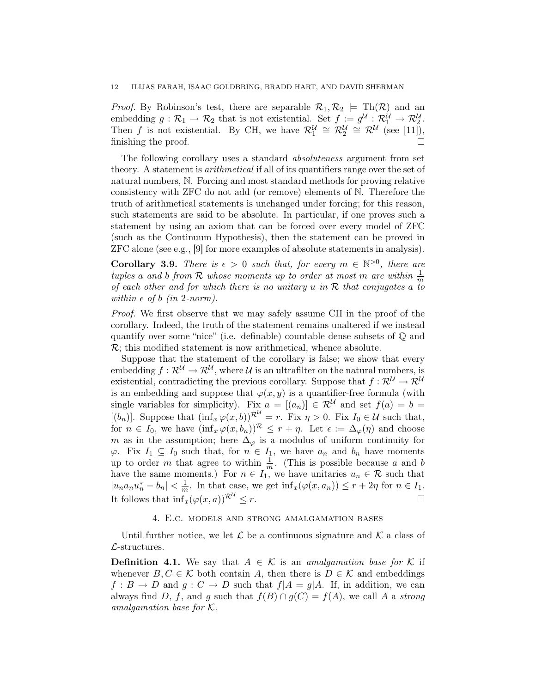*Proof.* By Robinson's test, there are separable  $\mathcal{R}_1, \mathcal{R}_2 \models \text{Th}(\mathcal{R})$  and an embedding  $g: \mathcal{R}_1 \to \mathcal{R}_2$  that is not existential. Set  $f := g^{\mathcal{U}}: \mathcal{R}_1^{\mathcal{U}} \to \mathcal{R}_2^{\mathcal{U}}$ . Then f is not existential. By CH, we have  $\mathcal{R}_1^{\mathcal{U}} \cong \mathcal{R}_2^{\mathcal{U}} \cong \mathcal{R}^{\mathcal{U}}$  (see [11]), finishing the proof.

The following corollary uses a standard absoluteness argument from set theory. A statement is arithmetical if all of its quantifiers range over the set of natural numbers, N. Forcing and most standard methods for proving relative consistency with ZFC do not add (or remove) elements of N. Therefore the truth of arithmetical statements is unchanged under forcing; for this reason, such statements are said to be absolute. In particular, if one proves such a statement by using an axiom that can be forced over every model of ZFC (such as the Continuum Hypothesis), then the statement can be proved in ZFC alone (see e.g., [9] for more examples of absolute statements in analysis).

**Corollary 3.9.** There is  $\epsilon > 0$  such that, for every  $m \in \mathbb{N}^{>0}$ , there are tuples a and b from R whose moments up to order at most m are within  $\frac{1}{m}$ of each other and for which there is no unitary u in  $R$  that conjugates a to within  $\epsilon$  of b (in 2-norm).

Proof. We first observe that we may safely assume CH in the proof of the corollary. Indeed, the truth of the statement remains unaltered if we instead quantify over some "nice" (i.e. definable) countable dense subsets of Q and  $\mathcal{R}$ ; this modified statement is now arithmetical, whence absolute.

Suppose that the statement of the corollary is false; we show that every embedding  $f: \mathcal{R}^{\mathcal{U}} \to \mathcal{R}^{\mathcal{U}},$  where  $\mathcal{U}$  is an ultrafilter on the natural numbers, is existential, contradicting the previous corollary. Suppose that  $f: \mathcal{R}^{\mathcal{U}} \to \mathcal{R}^{\mathcal{U}}$ is an embedding and suppose that  $\varphi(x, y)$  is a quantifier-free formula (with single variables for simplicity). Fix  $a = [(a_n)] \in \mathbb{R}^{\mathcal{U}}$  and set  $f(a) = b =$  $[(b_n)]$ . Suppose that  $(\inf_x \varphi(x, b))^{\mathcal{R}^{\mathcal{U}}}=r$ . Fix  $\eta > 0$ . Fix  $I_0 \in \mathcal{U}$  such that, for  $n \in I_0$ , we have  $(\inf_x \varphi(x, b_n))^{\mathcal{R}} \leq r + \eta$ . Let  $\epsilon := \Delta_{\varphi}(\eta)$  and choose m as in the assumption; here  $\Delta_{\varphi}$  is a modulus of uniform continuity for  $\varphi$ . Fix  $I_1 \subseteq I_0$  such that, for  $n \in I_1$ , we have  $a_n$  and  $b_n$  have moments up to order m that agree to within  $\frac{1}{m}$ . (This is possible because a and b have the same moments.) For  $n \in I_1$ , we have unitaries  $u_n \in \mathcal{R}$  such that  $|u_n a_n u_n^* - b_n| < \frac{1}{m}$  $\frac{1}{m}$ . In that case, we get  $\inf_x(\varphi(x, a_n)) \leq r + 2\eta$  for  $n \in I_1$ . It follows that  $\inf_x(\varphi(x, a))^{\mathcal{R}^{\mathcal{U}}}.$  $\leq r$ .

#### 4. E.c. models and strong amalgamation bases

Until further notice, we let  $\mathcal L$  be a continuous signature and  $\mathcal K$  a class of  $\mathcal{L}$ -structures.

**Definition 4.1.** We say that  $A \in \mathcal{K}$  is an *amalgamation base for*  $\mathcal{K}$  if whenever  $B, C \in \mathcal{K}$  both contain A, then there is  $D \in \mathcal{K}$  and embeddings  $f : B \to D$  and  $g : C \to D$  such that  $f | A = g | A$ . If, in addition, we can always find D, f, and g such that  $f(B) \cap g(C) = f(A)$ , we call A a strong amalgamation base for K.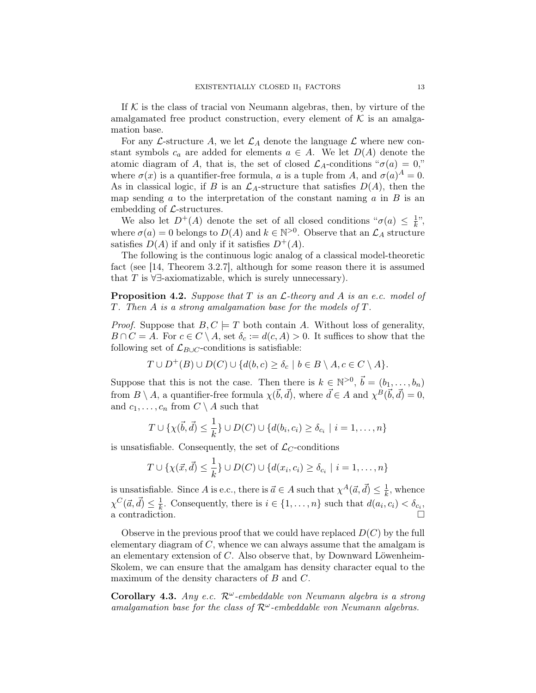If  $K$  is the class of tracial von Neumann algebras, then, by virture of the amalgamated free product construction, every element of  $K$  is an amalgamation base.

For any L-structure A, we let  $\mathcal{L}_A$  denote the language L where new constant symbols  $c_a$  are added for elements  $a \in A$ . We let  $D(A)$  denote the atomic diagram of A, that is, the set of closed  $\mathcal{L}_A$ -conditions " $\sigma(a) = 0$ ," where  $\sigma(x)$  is a quantifier-free formula, a is a tuple from A, and  $\sigma(a)^A = 0$ . As in classical logic, if B is an  $\mathcal{L}_A$ -structure that satisfies  $D(A)$ , then the map sending  $a$  to the interpretation of the constant naming  $a$  in  $B$  is an embedding of  $\mathcal{L}$ -structures.

We also let  $D^+(A)$  denote the set of all closed conditions " $\sigma(a) \leq \frac{1}{k}$  $\frac{1}{k}$ ", where  $\sigma(a) = 0$  belongs to  $D(A)$  and  $k \in \mathbb{N}^{>0}$ . Observe that an  $\mathcal{L}_A$  structure satisfies  $D(A)$  if and only if it satisfies  $D^+(A)$ .

The following is the continuous logic analog of a classical model-theoretic fact (see [14, Theorem 3.2.7], although for some reason there it is assumed that T is  $\forall \exists$ -axiomatizable, which is surely unnecessary).

**Proposition 4.2.** Suppose that  $T$  is an  $\mathcal{L}$ -theory and  $A$  is an e.c. model of T. Then A is a strong amalgamation base for the models of T.

*Proof.* Suppose that  $B, C \models T$  both contain A. Without loss of generality,  $B \cap C = A$ . For  $c \in C \setminus A$ , set  $\delta_c := d(c, A) > 0$ . It suffices to show that the following set of  $\mathcal{L}_{B\cup C}$ -conditions is satisfiable:

$$
T \cup D^+(B) \cup D(C) \cup \{d(b,c) \ge \delta_c \mid b \in B \setminus A, c \in C \setminus A\}.
$$

Suppose that this is not the case. Then there is  $k \in \mathbb{N}^{>0}$ ,  $\vec{b} = (b_1, \ldots, b_n)$ from  $B \setminus A$ , a quantifier-free formula  $\chi(\vec{b}, \vec{d})$ , where  $\vec{d} \in A$  and  $\chi^B(\vec{b}, \vec{d}) = 0$ , and  $c_1, \ldots, c_n$  from  $C \setminus A$  such that

$$
T \cup \{\chi(\vec{b}, \vec{d}) \leq \frac{1}{k}\} \cup D(C) \cup \{d(b_i, c_i) \geq \delta_{c_i} \mid i = 1, ..., n\}
$$

is unsatisfiable. Consequently, the set of  $\mathcal{L}_C$ -conditions

$$
T \cup \{\chi(\vec{x}, \vec{d}) \leq \frac{1}{k}\} \cup D(C) \cup \{d(x_i, c_i) \geq \delta_{c_i} \mid i = 1, \ldots, n\}
$$

is unsatisfiable. Since A is e.c., there is  $\vec{a} \in A$  such that  $\chi^A(\vec{a}, \vec{d}) \leq \frac{1}{k}$  $\frac{1}{k}$ , whence  $\chi^C(\vec{a}, \vec{d}) \leq \frac{1}{k}$  $\frac{1}{k}$ . Consequently, there is  $i \in \{1, \ldots, n\}$  such that  $d(a_i, c_i) < \delta_{c_i}$ , a contradiction.  $\Box$ 

Observe in the previous proof that we could have replaced  $D(C)$  by the full elementary diagram of  $C$ , whence we can always assume that the amalgam is an elementary extension of C. Also observe that, by Downward Löwenheim-Skolem, we can ensure that the amalgam has density character equal to the maximum of the density characters of B and C.

Corollary 4.3. Any e.c.  $\mathcal{R}^{\omega}$ -embeddable von Neumann algebra is a strong amalgamation base for the class of  $\mathcal{R}^{\omega}$ -embeddable von Neumann algebras.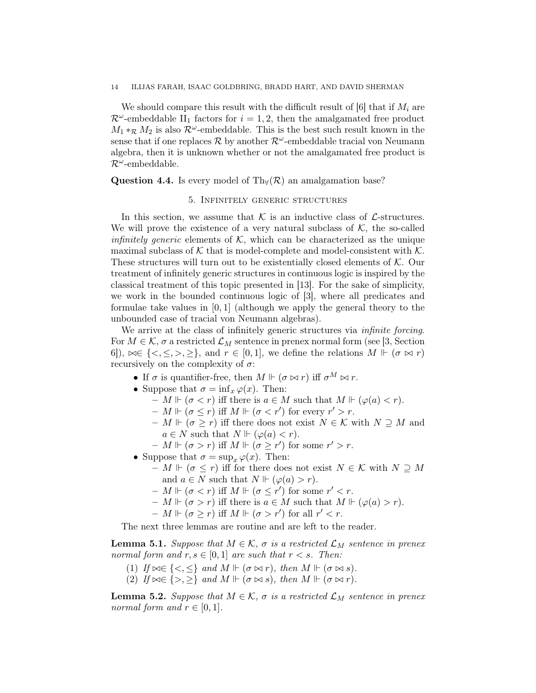We should compare this result with the difficult result of [6] that if  $M_i$  are  $\mathcal{R}^{\omega}$ -embeddable II<sub>1</sub> factors for  $i = 1, 2$ , then the amalgamated free product  $M_1 *_{\mathcal{R}} M_2$  is also  $\mathcal{R}^{\omega}$ -embeddable. This is the best such result known in the sense that if one replaces  $\mathcal R$  by another  $\mathcal R^\omega$ -embeddable tracial von Neumann algebra, then it is unknown whether or not the amalgamated free product is  $\mathcal{R}^{\omega}$ -embeddable.

Question 4.4. Is every model of Th $\forall (\mathcal{R})$  an amalgamation base?

### 5. Infinitely generic structures

In this section, we assume that  $\mathcal K$  is an inductive class of  $\mathcal L$ -structures. We will prove the existence of a very natural subclass of  $K$ , the so-called *infinitely generic* elements of  $K$ , which can be characterized as the unique maximal subclass of  $K$  that is model-complete and model-consistent with  $K$ . These structures will turn out to be existentially closed elements of  $K$ . Our treatment of infinitely generic structures in continuous logic is inspired by the classical treatment of this topic presented in [13]. For the sake of simplicity, we work in the bounded continuous logic of [3], where all predicates and formulae take values in  $[0, 1]$  (although we apply the general theory to the unbounded case of tracial von Neumann algebras).

We arrive at the class of infinitely generic structures via *infinite forcing*. For  $M \in \mathcal{K}$ ,  $\sigma$  a restricted  $\mathcal{L}_M$  sentence in prenex normal form (see [3, Section 6]),  $\bowtie \in \{<,\leq, >,\geq\}$ , and  $r \in [0,1]$ , we define the relations  $M \Vdash (\sigma \bowtie r)$ recursively on the complexity of  $\sigma$ :

- If  $\sigma$  is quantifier-free, then  $M \Vdash (\sigma \bowtie r)$  iff  $\sigma^M \bowtie r$ .
- Suppose that  $\sigma = \inf_x \varphi(x)$ . Then:
	- $M \Vdash (\sigma < r)$  iff there is  $a \in M$  such that  $M \Vdash (\varphi(a) < r)$ .
	- $M \Vdash (\sigma \leq r)$  iff  $M \Vdash (\sigma \lt r')$  for every  $r' > r$ .
	- $M ⊢ (σ ≥ r)$  iff there does not exist  $N ∈ K$  with  $N ⊇ M$  and  $a \in N$  such that  $N \Vdash (\varphi(a) < r)$ .
	- $-M \Vdash (\sigma > r)$  iff  $M \Vdash (\sigma \geq r')$  for some  $r' > r$ .
- Suppose that  $\sigma = \sup_x \varphi(x)$ . Then:
	- $-M \Vdash (\sigma \leq r)$  iff for there does not exist  $N \in \mathcal{K}$  with  $N \supseteq M$ and  $a \in N$  such that  $N \Vdash (\varphi(a) > r)$ .
	- $M \Vdash (\sigma < r)$  iff  $M \Vdash (\sigma \leq r')$  for some  $r' < r$ .
	- $-M \Vdash (\sigma > r)$  iff there is  $a \in M$  such that  $M \Vdash (\varphi(a) > r)$ .
	- $M \Vdash (\sigma \geq r)$  iff  $M \Vdash (\sigma > r')$  for all  $r' < r$ .

The next three lemmas are routine and are left to the reader.

**Lemma 5.1.** Suppose that  $M \in \mathcal{K}$ ,  $\sigma$  is a restricted  $\mathcal{L}_M$  sentence in prenex normal form and  $r, s \in [0, 1]$  are such that  $r < s$ . Then:

- (1) If  $\bowtie \in \{ \lt, \leq \}$  and  $M \Vdash (\sigma \bowtie r)$ , then  $M \Vdash (\sigma \bowtie s)$ .
- (2) If  $\bowtie \in \{>, \geq\}$  and  $M \Vdash (\sigma \bowtie s)$ , then  $M \Vdash (\sigma \bowtie r)$ .

**Lemma 5.2.** Suppose that  $M \in \mathcal{K}$ ,  $\sigma$  is a restricted  $\mathcal{L}_M$  sentence in prenex normal form and  $r \in [0,1]$ .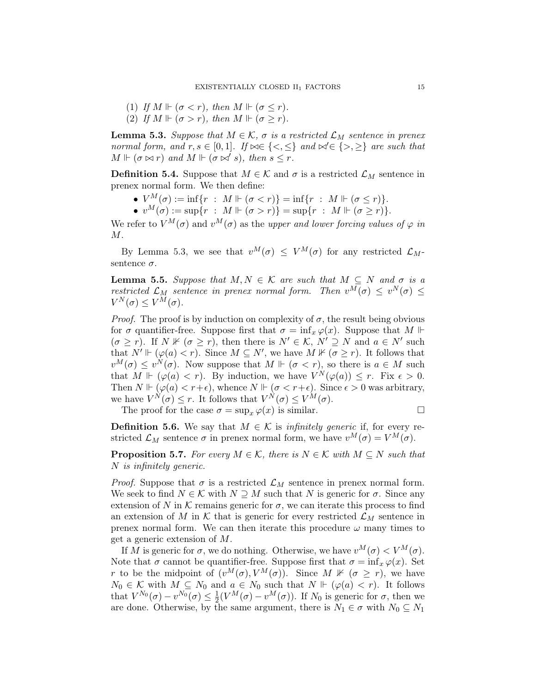(1) If 
$$
M \Vdash (\sigma < r)
$$
, then  $M \Vdash (\sigma \leq r)$ .

(2) If  $M \Vdash (\sigma > r)$ , then  $M \Vdash (\sigma > r)$ .

**Lemma 5.3.** Suppose that  $M \in \mathcal{K}$ ,  $\sigma$  is a restricted  $\mathcal{L}_M$  sentence in prenex normal form, and  $r, s \in [0,1]$ . If  $\bowtie \in \{<,\leq\}$  and  $\bowtie \in \{>,\geq\}$  are such that  $M \Vdash (\sigma \bowtie r)$  and  $M \Vdash (\sigma \bowtie' s)$ , then  $s \leq r$ .

**Definition 5.4.** Suppose that  $M \in \mathcal{K}$  and  $\sigma$  is a restricted  $\mathcal{L}_M$  sentence in prenex normal form. We then define:

- $V^M(\sigma) := \inf\{r : M \Vdash (\sigma < r)\} = \inf\{r : M \Vdash (\sigma \leq r)\}.$
- $v^M(\sigma) := \sup\{r : M \Vdash (\sigma > r)\} = \sup\{r : M \Vdash (\sigma \geq r)\}.$

We refer to  $V^M(\sigma)$  and  $v^M(\sigma)$  as the upper and lower forcing values of  $\varphi$  in  $M$ .

By Lemma 5.3, we see that  $v^M(\sigma) \leq V^M(\sigma)$  for any restricted  $\mathcal{L}_M$ sentence  $\sigma$ .

**Lemma 5.5.** Suppose that  $M, N \in \mathcal{K}$  are such that  $M \subseteq N$  and  $\sigma$  is a restricted  $\mathcal{L}_M$  sentence in prenex normal form. Then  $v^M(\sigma) \leq v^N(\sigma) \leq$  $V^N(\sigma) \leq V^M(\sigma)$ .

*Proof.* The proof is by induction on complexity of  $\sigma$ , the result being obvious for  $\sigma$  quantifier-free. Suppose first that  $\sigma = \inf_x \varphi(x)$ . Suppose that  $M \Vdash$  $(\sigma \geq r)$ . If  $N \nvDash (\sigma \geq r)$ , then there is  $N' \in \mathcal{K}$ ,  $N' \supseteq N$  and  $a \in N'$  such that  $N' \Vdash (\varphi(a) < r)$ . Since  $M \subseteq N'$ , we have  $M \nvDash (\sigma \geq r)$ . It follows that  $v^M(\sigma) \le v^N(\sigma)$ . Now suppose that  $M \Vdash (\sigma \langle r \rangle)$ , so there is  $a \in M$  such that  $M \Vdash (\varphi(a) < r)$ . By induction, we have  $V^N(\varphi(a)) \leq r$ . Fix  $\epsilon > 0$ . Then  $N \Vdash (\varphi(a) < r + \epsilon)$ , whence  $N \Vdash (\sigma < r + \epsilon)$ . Since  $\epsilon > 0$  was arbitrary, we have  $V^N(\sigma) \leq r$ . It follows that  $V^N(\sigma) \leq V^M(\sigma)$ .

The proof for the case  $\sigma = \sup_x \varphi(x)$  is similar.

**Definition 5.6.** We say that  $M \in \mathcal{K}$  is *infinitely generic* if, for every restricted  $\mathcal{L}_M$  sentence  $\sigma$  in prenex normal form, we have  $v^M(\sigma) = V^M(\sigma)$ .

**Proposition 5.7.** For every  $M \in \mathcal{K}$ , there is  $N \in \mathcal{K}$  with  $M \subseteq N$  such that N is infinitely generic.

*Proof.* Suppose that  $\sigma$  is a restricted  $\mathcal{L}_M$  sentence in prenex normal form. We seek to find  $N \in \mathcal{K}$  with  $N \supseteq M$  such that N is generic for  $\sigma$ . Since any extension of N in K remains generic for  $\sigma$ , we can iterate this process to find an extension of M in K that is generic for every restricted  $\mathcal{L}_M$  sentence in prenex normal form. We can then iterate this procedure  $\omega$  many times to get a generic extension of M.

If M is generic for  $\sigma$ , we do nothing. Otherwise, we have  $v^M(\sigma) < V^M(\sigma)$ . Note that  $\sigma$  cannot be quantifier-free. Suppose first that  $\sigma = \inf_x \varphi(x)$ . Set r to be the midpoint of  $(v^M(\sigma), V^M(\sigma))$ . Since  $M \nvDash (\sigma > r)$ , we have  $N_0 \in \mathcal{K}$  with  $M \subseteq N_0$  and  $a \in N_0$  such that  $N \Vdash (\varphi(a) < r)$ . It follows that  $V^{N_0}(\sigma) - v^{N_0}(\sigma) \leq \frac{1}{2}$  $\frac{1}{2}(V^M(\sigma)-v^M(\sigma))$ . If  $N_0$  is generic for  $\sigma$ , then we are done. Otherwise, by the same argument, there is  $N_1 \in \sigma$  with  $N_0 \subseteq N_1$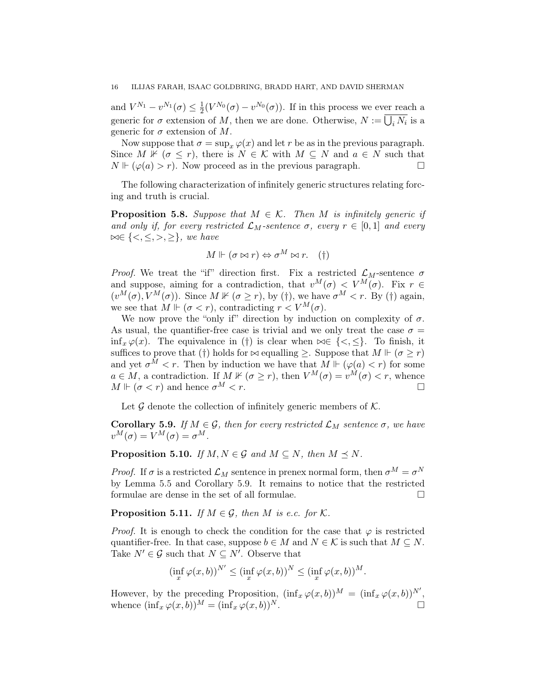and  $V^{N_1} - v^{N_1}(\sigma) \leq \frac{1}{2}$  $\frac{1}{2}(V^{N_0}(\sigma)-v^{N_0}(\sigma)).$  If in this process we ever reach a generic for  $\sigma$  extension of M, then we are done. Otherwise,  $N := \bigcup_i N_i$  is a generic for  $\sigma$  extension of M.

Now suppose that  $\sigma = \sup_x \varphi(x)$  and let r be as in the previous paragraph. Since M  $\mathbb{K}$  ( $\sigma \leq r$ ), there is  $N \in \mathcal{K}$  with  $M \subseteq N$  and  $a \in N$  such that  $N \Vdash (\varphi(a) > r)$ . Now proceed as in the previous paragraph.

The following characterization of infinitely generic structures relating forcing and truth is crucial.

**Proposition 5.8.** Suppose that  $M \in \mathcal{K}$ . Then M is infinitely generic if and only if, for every restricted  $\mathcal{L}_M$ -sentence  $\sigma$ , every  $r \in [0,1]$  and every  $\bowtie \in \{<,\leq,>,\geq\},$  we have

$$
M \Vdash (\sigma \bowtie r) \Leftrightarrow \sigma^M \bowtie r. \quad (\dagger)
$$

*Proof.* We treat the "if" direction first. Fix a restricted  $\mathcal{L}_M$ -sentence  $\sigma$ and suppose, aiming for a contradiction, that  $v^M(\sigma) < V^M(\sigma)$ . Fix  $r \in$  $(v^M(\sigma), V^M(\sigma))$ . Since  $M \nvDash (\sigma \geq r)$ , by (†), we have  $\sigma^M < r$ . By (†) again, we see that  $M \Vdash (\sigma < r)$ , contradicting  $r < V^M(\sigma)$ .

We now prove the "only if" direction by induction on complexity of  $\sigma$ . As usual, the quantifier-free case is trivial and we only treat the case  $\sigma =$ inf<sub>x</sub>  $\varphi(x)$ . The equivalence in (†) is clear when  $\bowtie \in \{<,\leq\}$ . To finish, it suffices to prove that (†) holds for  $\bowtie$  equalling  $\geq$ . Suppose that  $M \Vdash (\sigma \geq r)$ and yet  $\sigma^M < r$ . Then by induction we have that  $M \Vdash (\varphi(a) < r)$  for some  $a \in M$ , a contradiction. If  $M \nvDash (\sigma \geq r)$ , then  $V^M(\sigma) = v^M(\sigma) < r$ , whence  $M \Vdash (\sigma \lt r)$  and hence  $\sigma^M \lt r$ .

Let  $\mathcal G$  denote the collection of infinitely generic members of  $\mathcal K$ .

**Corollary 5.9.** If  $M \in \mathcal{G}$ , then for every restricted  $\mathcal{L}_M$  sentence  $\sigma$ , we have  $v^M(\sigma) = V^M(\sigma) = \sigma^M$ .

**Proposition 5.10.** If  $M, N \in \mathcal{G}$  and  $M \subseteq N$ , then  $M \preceq N$ .

*Proof.* If  $\sigma$  is a restricted  $\mathcal{L}_M$  sentence in prenex normal form, then  $\sigma^M = \sigma^N$ by Lemma 5.5 and Corollary 5.9. It remains to notice that the restricted formulae are dense in the set of all formulae.  $\Box$ 

**Proposition 5.11.** If  $M \in \mathcal{G}$ , then M is e.c. for K.

*Proof.* It is enough to check the condition for the case that  $\varphi$  is restricted quantifier-free. In that case, suppose  $b \in M$  and  $N \in \mathcal{K}$  is such that  $M \subseteq N$ . Take  $N' \in \mathcal{G}$  such that  $N \subseteq N'$ . Observe that

$$
(\inf_x \varphi(x,b))^{N'} \leq (\inf_x \varphi(x,b))^N \leq (\inf_x \varphi(x,b))^M.
$$

However, by the preceding Proposition,  $(\inf_x \varphi(x, b))^M = (\inf_x \varphi(x, b))^{N'}$ , whence  $(\inf_x \varphi(x, b))^M = (\inf_x \varphi(x, b))^N$ .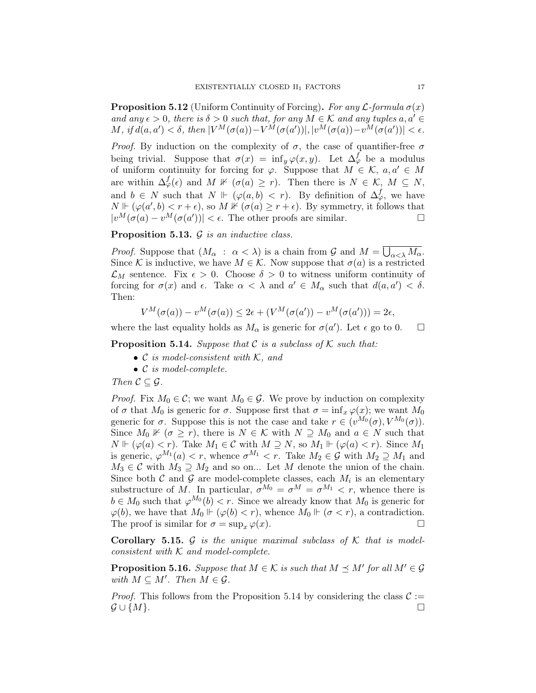**Proposition 5.12** (Uniform Continuity of Forcing). For any  $\mathcal{L}$ -formula  $\sigma(x)$ and any  $\epsilon > 0$ , there is  $\delta > 0$  such that, for any  $M \in \mathcal{K}$  and any tuples  $a, a' \in$ M, if  $d(a, a') < \delta$ , then  $|V^M(\sigma(a)) - V^M(\sigma(a'))|, |v^M(\sigma(a)) - v^M(\sigma(a'))| < \epsilon$ .

*Proof.* By induction on the complexity of  $\sigma$ , the case of quantifier-free  $\sigma$ being trivial. Suppose that  $\sigma(x) = \inf_y \varphi(x, y)$ . Let  $\Delta_{\varphi}^f$  be a modulus of uniform continuity for forcing for  $\varphi$ . Suppose that  $M \in \mathcal{K}$ ,  $a, a' \in M$ are within  $\Delta^f_\varphi(\epsilon)$  and  $M \not\Vdash (\sigma(a) \geq r)$ . Then there is  $N \in \mathcal{K}$ ,  $M \subseteq N$ , and  $b \in N$  such that  $N \Vdash (\varphi(a, b) < r)$ . By definition of  $\Delta_{\varphi}^f$ , we have  $N \Vdash (\varphi(a',b) < r + \epsilon)$ , so  $M \nvDash (\sigma(a) \geq r + \epsilon)$ . By symmetry, it follows that  $|v^M(\sigma(a) - v^M(\sigma(a'))| < \epsilon$ . The other proofs are similar.

**Proposition 5.13.**  $\mathcal G$  is an inductive class.

*Proof.* Suppose that  $(M_\alpha : \alpha < \lambda)$  is a chain from  $\mathcal G$  and  $M = \bigcup_{\alpha < \lambda} M_\alpha$ . Since K is inductive, we have  $M \in \mathcal{K}$ . Now suppose that  $\sigma(a)$  is a restricted  $\mathcal{L}_M$  sentence. Fix  $\epsilon > 0$ . Choose  $\delta > 0$  to witness uniform continuity of forcing for  $\sigma(x)$  and  $\epsilon$ . Take  $\alpha < \lambda$  and  $a' \in M_\alpha$  such that  $d(a, a') < \delta$ . Then:

$$
V^M(\sigma(a)) - v^M(\sigma(a)) \le 2\epsilon + (V^M(\sigma(a')) - v^M(\sigma(a'))) = 2\epsilon,
$$

where the last equality holds as  $M_{\alpha}$  is generic for  $\sigma(a')$ . Let  $\epsilon$  go to 0.  $\square$ 

**Proposition 5.14.** Suppose that  $C$  is a subclass of  $K$  such that:

- $\mathcal C$  is model-consistent with  $\mathcal K$ , and
- C is model-complete.

Then  $C \subseteq \mathcal{G}$ .

*Proof.* Fix  $M_0 \in \mathcal{C}$ ; we want  $M_0 \in \mathcal{G}$ . We prove by induction on complexity of  $\sigma$  that  $M_0$  is generic for  $\sigma$ . Suppose first that  $\sigma = \inf_x \varphi(x)$ ; we want  $M_0$ generic for  $\sigma$ . Suppose this is not the case and take  $r \in (v^{M_0}(\sigma), V^{M_0}(\sigma))$ . Since  $M_0 \nVdash (\sigma \geq r)$ , there is  $N \in \mathcal{K}$  with  $N \supseteq M_0$  and  $a \in N$  such that  $N \Vdash (\varphi(a) < r)$ . Take  $M_1 \in \mathcal{C}$  with  $M \supseteq N$ , so  $M_1 \Vdash (\varphi(a) < r)$ . Since  $M_1$ is generic,  $\varphi^{M_1}(a) < r$ , whence  $\sigma^{M_1} < r$ . Take  $M_2 \in \mathcal{G}$  with  $M_2 \supseteq M_1$  and  $M_3 \in \mathcal{C}$  with  $M_3 \supseteq M_2$  and so on... Let M denote the union of the chain. Since both  $\mathcal C$  and  $\mathcal G$  are model-complete classes, each  $M_i$  is an elementary substructure of M. In particular,  $\sigma^{M_0} = \sigma^{M} = \sigma^{M_1} < r$ , whence there is  $b \in M_0$  such that  $\varphi^{M_0}(b) < r$ . Since we already know that  $M_0$  is generic for  $\varphi(b)$ , we have that  $M_0 \Vdash (\varphi(b) < r)$ , whence  $M_0 \Vdash (\sigma < r)$ , a contradiction. The proof is similar for  $\sigma = \sup_x \varphi(x)$ .

**Corollary 5.15.** G is the unique maximal subclass of  $K$  that is modelconsistent with  $K$  and model-complete.

**Proposition 5.16.** Suppose that  $M \in \mathcal{K}$  is such that  $M \preceq M'$  for all  $M' \in \mathcal{G}$ with  $M \subseteq M'$ . Then  $M \in \mathcal{G}$ .

*Proof.* This follows from the Proposition 5.14 by considering the class  $C :=$  $\mathcal{G} \cup \{M\}.$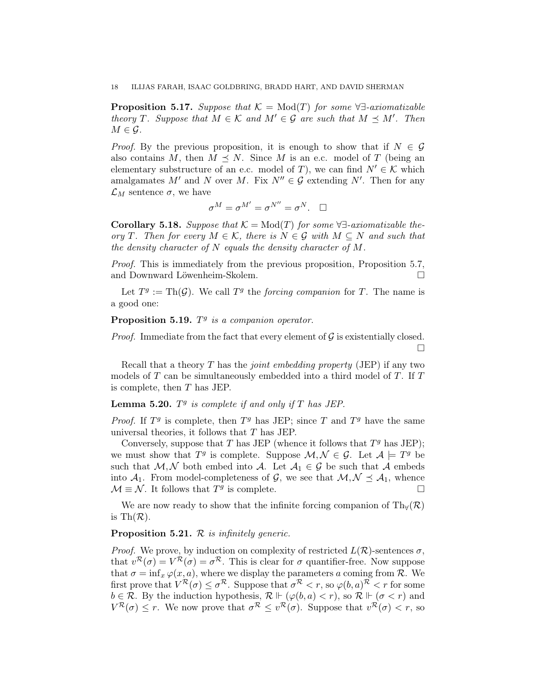**Proposition 5.17.** Suppose that  $\mathcal{K} = \text{Mod}(T)$  for some  $\forall \exists$ -axiomatizable theory T. Suppose that  $M \in \mathcal{K}$  and  $M' \in \mathcal{G}$  are such that  $M \preceq M'$ . Then  $M \in \mathcal{G}$ .

*Proof.* By the previous proposition, it is enough to show that if  $N \in \mathcal{G}$ also contains M, then  $M \preceq N$ . Since M is an e.c. model of T (being an elementary substructure of an e.c. model of T), we can find  $N' \in \mathcal{K}$  which amalgamates M' and N over M. Fix  $N'' \in \mathcal{G}$  extending N'. Then for any  $\mathcal{L}_M$  sentence  $\sigma$ , we have

$$
\sigma^M=\sigma^{M'}=\sigma^{N''}=\sigma^N. \quad \Box
$$

Corollary 5.18. Suppose that  $\mathcal{K} = \text{Mod}(T)$  for some  $\forall \exists$ -axiomatizable theory T. Then for every  $M \in \mathcal{K}$ , there is  $N \in \mathcal{G}$  with  $M \subseteq N$  and such that the density character of  $N$  equals the density character of  $M$ .

Proof. This is immediately from the previous proposition, Proposition 5.7, and Downward Löwenheim-Skolem.

Let  $T^g := Th(\mathcal{G})$ . We call  $T^g$  the *forcing companion* for T. The name is a good one:

# Proposition 5.19.  $T<sup>g</sup>$  is a companion operator.

*Proof.* Immediate from the fact that every element of  $G$  is existentially closed.  $\Box$ 

Recall that a theory  $T$  has the *joint embedding property* (JEP) if any two models of T can be simultaneously embedded into a third model of T. If T is complete, then T has JEP.

# **Lemma 5.20.**  $T^g$  is complete if and only if  $T$  has JEP.

*Proof.* If  $T<sup>g</sup>$  is complete, then  $T<sup>g</sup>$  has JEP; since T and  $T<sup>g</sup>$  have the same universal theories, it follows that  $T$  has JEP.

Conversely, suppose that T has JEP (whence it follows that  $T<sup>g</sup>$  has JEP); we must show that  $T^g$  is complete. Suppose  $\mathcal{M}, \mathcal{N} \in \mathcal{G}$ . Let  $\mathcal{A} \models T^g$  be such that  $M, N$  both embed into A. Let  $A_1 \in \mathcal{G}$  be such that A embeds into  $A_1$ . From model-completeness of G, we see that  $M, \mathcal{N} \preceq A_1$ , whence  $\mathcal{M} \equiv \mathcal{N}$ . It follows that  $T^g$  is complete.

We are now ready to show that the infinite forcing companion of  $Th_v(\mathcal{R})$ is Th $(\mathcal{R})$ .

## **Proposition 5.21.**  $\mathcal{R}$  is infinitely generic.

*Proof.* We prove, by induction on complexity of restricted  $L(\mathcal{R})$ -sentences  $\sigma$ , that  $v^{\mathcal{R}}(\sigma) = V^{\mathcal{R}}(\sigma) = \sigma^{\mathcal{R}}$ . This is clear for  $\sigma$  quantifier-free. Now suppose that  $\sigma = \inf_x \varphi(x, a)$ , where we display the parameters a coming from R. We first prove that  $V^{\mathcal{R}}(\sigma) \leq \sigma^{\mathcal{R}}$ . Suppose that  $\sigma^{\mathcal{R}} < r$ , so  $\varphi(b, a)^{\mathcal{R}} < r$  for some  $b \in \mathcal{R}$ . By the induction hypothesis,  $\mathcal{R} \Vdash (\varphi(b, a) < r)$ , so  $\mathcal{R} \Vdash (\sigma < r)$  and  $V^{\mathcal{R}}(\sigma) \leq r$ . We now prove that  $\sigma^{\mathcal{R}} \leq v^{\mathcal{R}}(\sigma)$ . Suppose that  $v^{\mathcal{R}}(\sigma) < r$ , so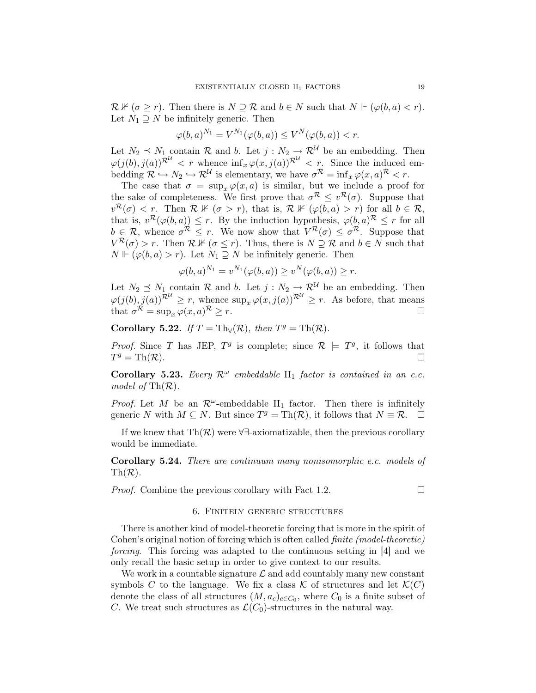$\mathcal{R} \nVdash (\sigma \geq r)$ . Then there is  $N \supseteq \mathcal{R}$  and  $b \in N$  such that  $N \Vdash (\varphi(b, a) < r)$ . Let  $N_1 \supseteq N$  be infinitely generic. Then

$$
\varphi(b,a)^{N_1} = V^{N_1}(\varphi(b,a)) \le V^N(\varphi(b,a)) < r.
$$

Let  $N_2 \preceq N_1$  contain R and b. Let  $j : N_2 \to \mathcal{R}^{\mathcal{U}}$  be an embedding. Then  $\varphi(j(b), j(a))^{\mathcal{R}^{\mathcal{U}}} < r$  whence  $\inf_{x} \varphi(x, j(a))^{\mathcal{R}^{\mathcal{U}}} < r$ . Since the induced embedding  $\mathcal{R} \hookrightarrow N_2 \hookrightarrow \mathcal{R}^{\mathcal{U}}$  is elementary, we have  $\sigma^{\mathcal{R}} = \inf_x \varphi(x, a)^{\mathcal{R}} < r$ .

The case that  $\sigma = \sup_x \varphi(x, a)$  is similar, but we include a proof for the sake of completeness. We first prove that  $\sigma^R \leq v^R(\sigma)$ . Suppose that  $v^{\mathcal{R}}(\sigma) < r$ . Then  $\mathcal{R} \not\Vdash (\sigma > r)$ , that is,  $\mathcal{R} \not\Vdash (\varphi(b, a) > r)$  for all  $b \in \mathcal{R}$ , that is,  $v^{\mathcal{R}}(\varphi(b,a)) \leq r$ . By the induction hypothesis,  $\varphi(b,a)^{\mathcal{R}} \leq r$  for all  $b \in \mathcal{R}$ , whence  $\sigma^{\mathcal{R}} \leq r$ . We now show that  $V^{\mathcal{R}}(\sigma) \leq \sigma^{\mathcal{R}}$ . Suppose that  $V^{\mathcal{R}}(\sigma) > r$ . Then  $\mathcal{R} \nvDash (\sigma \leq r)$ . Thus, there is  $N \supseteq \mathcal{R}$  and  $b \in N$  such that  $N \Vdash (\varphi(b, a) > r)$ . Let  $N_1 \supseteq N$  be infinitely generic. Then

$$
\varphi(b,a)^{N_1} = v^{N_1}(\varphi(b,a)) \ge v^N(\varphi(b,a)) \ge r.
$$

Let  $N_2 \preceq N_1$  contain R and b. Let  $j : N_2 \to \mathcal{R}^{\mathcal{U}}$  be an embedding. Then  $\varphi(j(b), j(a))^{\mathcal{R}^{\mathcal{U}}} \geq r$ , whence  $\sup_x \varphi(x, j(a))^{\mathcal{R}^{\mathcal{U}}} \geq r$ . As before, that means that  $\sigma^{\mathcal{R}} = \sup_x \varphi(x, a)^{\mathcal{R}} \geq r$ .

Corollary 5.22. If  $T = Th_{\forall}(\mathcal{R})$ , then  $T^g = Th(\mathcal{R})$ .

*Proof.* Since T has JEP,  $T<sup>g</sup>$  is complete; since  $\mathcal{R} \models T<sup>g</sup>$ , it follows that  $T^g = \text{Th}(\mathcal{R}).$ 

Corollary 5.23. Every  $\mathcal{R}^{\omega}$  embeddable  $\text{II}_1$  factor is contained in an e.c. model of  $\text{Th}(\mathcal{R})$ .

*Proof.* Let M be an  $\mathcal{R}^{\omega}$ -embeddable II<sub>1</sub> factor. Then there is infinitely generic N with  $M \subseteq N$ . But since  $T^g = \text{Th}(\mathcal{R})$ , it follows that  $N \equiv \mathcal{R}$ .  $\Box$ 

If we knew that  $\text{Th}(\mathcal{R})$  were  $\forall \exists$ -axiomatizable, then the previous corollary would be immediate.

Corollary 5.24. There are continuum many nonisomorphic e.c. models of  $\text{Th}(\mathcal{R})$ .

*Proof.* Combine the previous corollary with Fact 1.2.  $\Box$ 

## 6. Finitely generic structures

There is another kind of model-theoretic forcing that is more in the spirit of Cohen's original notion of forcing which is often called finite (model-theoretic) forcing. This forcing was adapted to the continuous setting in [4] and we only recall the basic setup in order to give context to our results.

We work in a countable signature  $\mathcal L$  and add countably many new constant symbols C to the language. We fix a class K of structures and let  $\mathcal{K}(C)$ denote the class of all structures  $(M, a_c)_{c \in C_0}$ , where  $C_0$  is a finite subset of C. We treat such structures as  $\mathcal{L}(C_0)$ -structures in the natural way.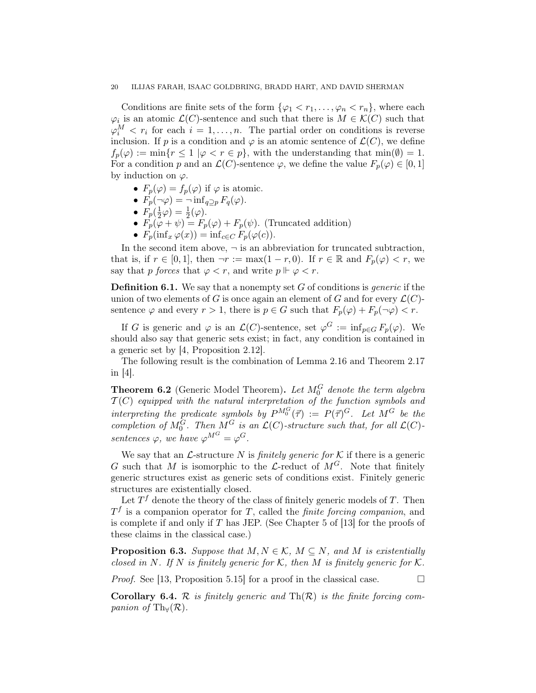Conditions are finite sets of the form  $\{\varphi_1 < r_1, \ldots, \varphi_n < r_n\}$ , where each  $\varphi_i$  is an atomic  $\mathcal{L}(C)$ -sentence and such that there is  $M \in \mathcal{K}(C)$  such that  $\varphi_i^M \leq r_i$  for each  $i = 1, ..., n$ . The partial order on conditions is reverse inclusion. If p is a condition and  $\varphi$  is an atomic sentence of  $\mathcal{L}(C)$ , we define  $f_p(\varphi) := \min\{r \leq 1 \mid \varphi < r \in p\}$ , with the understanding that  $\min(\emptyset) = 1$ . For a condition p and an  $\mathcal{L}(C)$ -sentence  $\varphi$ , we define the value  $F_p(\varphi) \in [0,1]$ by induction on  $\varphi$ .

- $F_p(\varphi) = f_p(\varphi)$  if  $\varphi$  is atomic.
- $F_p(\neg \varphi) = \neg \inf_{q \supseteq p} F_q(\varphi)$ .
- $\bullet$   $F_p(\frac{1}{2}$  $\frac{1}{2}\varphi)=\frac{1}{2}(\varphi).$
- $F_p(\varphi + \psi) = F_p(\varphi) + F_p(\psi)$ . (Truncated addition)
- $F_p(\inf_x \varphi(x)) = \inf_{c \in C} F_p(\varphi(c)).$

In the second item above,  $\neg$  is an abbreviation for truncated subtraction, that is, if  $r \in [0,1]$ , then  $\neg r := \max(1-r,0)$ . If  $r \in \mathbb{R}$  and  $F_p(\varphi) < r$ , we say that p forces that  $\varphi < r$ , and write  $p \Vdash \varphi < r$ .

**Definition 6.1.** We say that a nonempty set  $G$  of conditions is *generic* if the union of two elements of G is once again an element of G and for every  $\mathcal{L}(C)$ sentence  $\varphi$  and every  $r > 1$ , there is  $p \in G$  such that  $F_p(\varphi) + F_p(\neg \varphi) < r$ .

If G is generic and  $\varphi$  is an  $\mathcal{L}(C)$ -sentence, set  $\varphi^G := \inf_{p \in G} F_p(\varphi)$ . We should also say that generic sets exist; in fact, any condition is contained in a generic set by [4, Proposition 2.12].

The following result is the combination of Lemma 2.16 and Theorem 2.17 in  $|4|$ .

**Theorem 6.2** (Generic Model Theorem). Let  $M_0^G$  denote the term algebra  $\mathcal{T}(C)$  equipped with the natural interpretation of the function symbols and interpreting the predicate symbols by  $P^{M_0^G}(\vec{\tau}) := P(\vec{\tau})^G$ . Let  $M^G$  be the completion of  $M_0^G$ . Then  $M^G$  is an  $\mathcal{L}(C)$ -structure such that, for all  $\mathcal{L}(C)$ sentences  $\varphi$ , we have  $\varphi^{M^G} = \varphi^G$ .

We say that an  $\mathcal{L}$ -structure N is *finitely generic for*  $\mathcal{K}$  if there is a generic G such that M is isomorphic to the L-reduct of  $M<sup>G</sup>$ . Note that finitely generic structures exist as generic sets of conditions exist. Finitely generic structures are existentially closed.

Let  $T<sup>f</sup>$  denote the theory of the class of finitely generic models of T. Then  $T<sup>f</sup>$  is a companion operator for T, called the *finite forcing companion*, and is complete if and only if T has JEP. (See Chapter 5 of [13] for the proofs of these claims in the classical case.)

**Proposition 6.3.** Suppose that  $M, N \in \mathcal{K}$ ,  $M \subseteq N$ , and M is existentially closed in N. If N is finitely generic for K, then M is finitely generic for K.

*Proof.* See [13, Proposition 5.15] for a proof in the classical case.

**Corollary 6.4.** R is finitely generic and  $\text{Th}(\mathcal{R})$  is the finite forcing companion of Th $_{\forall}(\mathcal{R}).$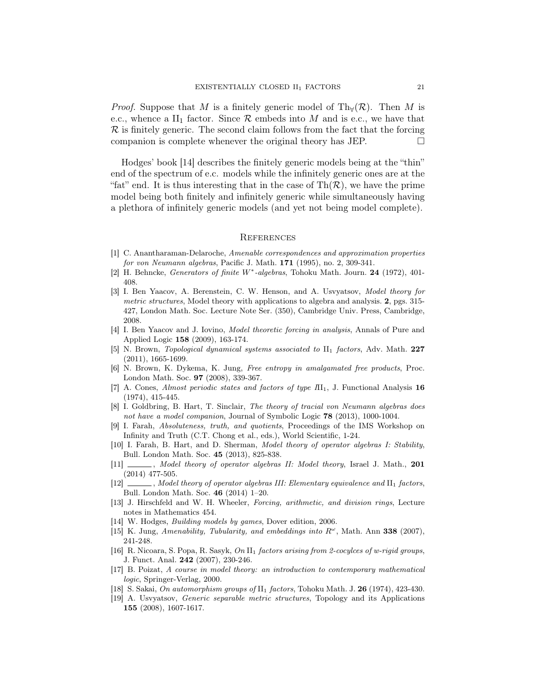*Proof.* Suppose that M is a finitely generic model of Th<sub>∀</sub>( $\mathcal{R}$ ). Then M is e.c., whence a II<sub>1</sub> factor. Since  $R$  embeds into M and is e.c., we have that  $\mathcal R$  is finitely generic. The second claim follows from the fact that the forcing companion is complete whenever the original theory has JEP.  $\Box$ 

Hodges' book [14] describes the finitely generic models being at the "thin" end of the spectrum of e.c. models while the infinitely generic ones are at the "fat" end. It is thus interesting that in the case of  $Th(\mathcal{R})$ , we have the prime model being both finitely and infinitely generic while simultaneously having a plethora of infinitely generic models (and yet not being model complete).

#### **REFERENCES**

- [1] C. Anantharaman-Delaroche, Amenable correspondences and approximation properties for von Neumann algebras, Pacific J. Math. **171** (1995), no. 2, 309-341.
- [2] H. Behncke, Generators of finite W<sup>\*</sup>-algebras, Tohoku Math. Journ. 24 (1972), 401-408.
- [3] I. Ben Yaacov, A. Berenstein, C. W. Henson, and A. Usvyatsov, Model theory for metric structures, Model theory with applications to algebra and analysis. 2, pgs. 315-427, London Math. Soc. Lecture Note Ser. (350), Cambridge Univ. Press, Cambridge, 2008.
- [4] I. Ben Yaacov and J. Iovino, Model theoretic forcing in analysis, Annals of Pure and Applied Logic 158 (2009), 163-174.
- [5] N. Brown, *Topological dynamical systems associated to* II<sub>1</sub> factors, Adv. Math. 227 (2011), 1665-1699.
- [6] N. Brown, K. Dykema, K. Jung, Free entropy in amalgamated free products, Proc. London Math. Soc. 97 (2008), 339-367.
- [7] A. Cones, *Almost periodic states and factors of type*  $\text{III}_1$ , J. Functional Analysis 16 (1974), 415-445.
- [8] I. Goldbring, B. Hart, T. Sinclair, The theory of tracial von Neumann algebras does not have a model companion, Journal of Symbolic Logic 78 (2013), 1000-1004.
- [9] I. Farah, Absoluteness, truth, and quotients, Proceedings of the IMS Workshop on Infinity and Truth (C.T. Chong et al., eds.), World Scientific, 1-24.
- [10] I. Farah, B. Hart, and D. Sherman, Model theory of operator algebras I: Stability, Bull. London Math. Soc. 45 (2013), 825-838.
- [11]  $\_\_\_\_\$ , Model theory of operator algebras II: Model theory, Israel J. Math., 201 (2014) 477-505.
- [12] Model theory of operator algebras III: Elementary equivalence and II<sub>1</sub> factors, Bull. London Math. Soc. 46 (2014) 1–20.
- [13] J. Hirschfeld and W. H. Wheeler, Forcing, arithmetic, and division rings, Lecture notes in Mathematics 454.
- [14] W. Hodges, *Building models by games*, Dover edition, 2006.
- [15] K. Jung, Amenability, Tubularity, and embeddings into  $R^{\omega}$ , Math. Ann 338 (2007), 241-248.
- [16] R. Nicoara, S. Popa, R. Sasyk, On II<sub>1</sub> factors arising from 2-cocylces of w-rigid groups, J. Funct. Anal. 242 (2007), 230-246.
- [17] B. Poizat, A course in model theory: an introduction to contemporary mathematical logic, Springer-Verlag, 2000.
- [18] S. Sakai, *On automorphism groups of*  $II_1$  *factors*, Tohoku Math. J. **26** (1974), 423-430.
- [19] A. Usvyatsov, Generic separable metric structures, Topology and its Applications 155 (2008), 1607-1617.